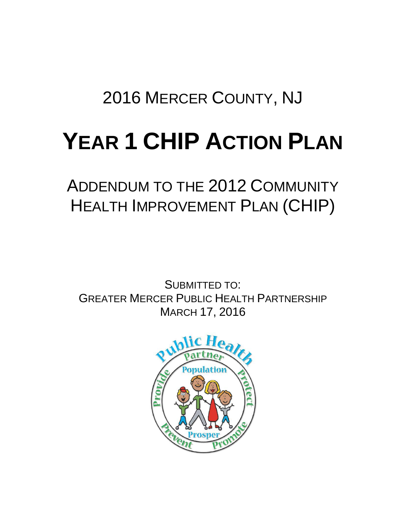# 2016 MERCER COUNTY, NJ

# **YEAR 1 CHIP ACTION PLAN**

# ADDENDUM TO THE 2012 COMMUNITY HEALTH IMPROVEMENT PLAN (CHIP)

SUBMITTED TO: GREATER MERCER PUBLIC HEALTH PARTNERSHIP MARCH 17, 2016

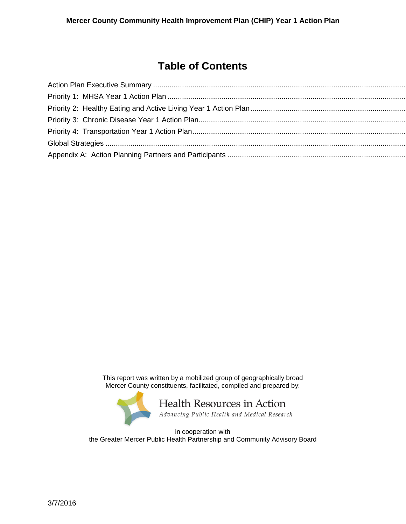### **Table of Contents**

This report was written by a mobilized group of geographically broad Mercer County constituents, facilitated, compiled and prepared by:



in cooperation with the Greater Mercer Public Health Partnership and Community Advisory Board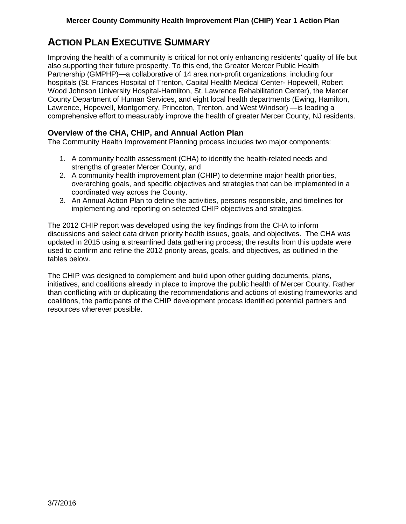### <span id="page-2-0"></span>**ACTION PLAN EXECUTIVE SUMMARY**

Improving the health of a community is critical for not only enhancing residents' quality of life but also supporting their future prosperity. To this end, the Greater Mercer Public Health Partnership (GMPHP)—a collaborative of 14 area non-profit organizations, including four hospitals (St. Frances Hospital of Trenton, Capital Health Medical Center- Hopewell, Robert Wood Johnson University Hospital-Hamilton, St. Lawrence Rehabilitation Center), the Mercer County Department of Human Services, and eight local health departments (Ewing, Hamilton, Lawrence, Hopewell, Montgomery, Princeton, Trenton, and West Windsor) —is leading a comprehensive effort to measurably improve the health of greater Mercer County, NJ residents.

#### **Overview of the CHA, CHIP, and Annual Action Plan**

The Community Health Improvement Planning process includes two major components:

- 1. A community health assessment (CHA) to identify the health-related needs and strengths of greater Mercer County, and
- 2. A community health improvement plan (CHIP) to determine major health priorities, overarching goals, and specific objectives and strategies that can be implemented in a coordinated way across the County.
- 3. An Annual Action Plan to define the activities, persons responsible, and timelines for implementing and reporting on selected CHIP objectives and strategies.

The 2012 CHIP report was developed using the key findings from the CHA to inform discussions and select data driven priority health issues, goals, and objectives. The CHA was updated in 2015 using a streamlined data gathering process; the results from this update were used to confirm and refine the 2012 priority areas, goals, and objectives, as outlined in the tables below.

The CHIP was designed to complement and build upon other guiding documents, plans, initiatives, and coalitions already in place to improve the public health of Mercer County. Rather than conflicting with or duplicating the recommendations and actions of existing frameworks and coalitions, the participants of the CHIP development process identified potential partners and resources wherever possible.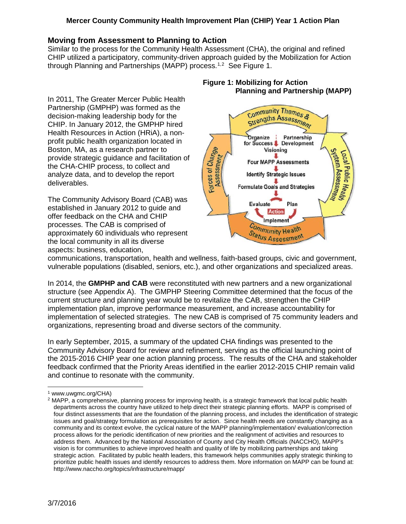#### **Moving from Assessment to Planning to Action**

Similar to the process for the Community Health Assessment (CHA), the original and refined CHIP utilized a participatory, community-driven approach guided by the Mobilization for Action through Planning and Partnerships (MAPP) process.<sup>[1,](#page-3-0)[2](#page-3-1)</sup> See Figure 1.

In 2011, The Greater Mercer Public Health Partnership (GMPHP) was formed as the decision-making leadership body for the CHIP. In January 2012, the GMPHP hired Health Resources in Action (HRiA), a nonprofit public health organization located in Boston, MA, as a research partner to provide strategic guidance and facilitation of the CHA-CHIP process, to collect and analyze data, and to develop the report deliverables.

The Community Advisory Board (CAB) was established in January 2012 to guide and offer feedback on the CHA and CHIP processes. The CAB is comprised of approximately 60 individuals who represent the local community in all its diverse aspects: business, education,

#### **Figure 1: Mobilizing for Action Planning and Partnership (MAPP)**



communications, transportation, health and wellness, faith-based groups, civic and government, vulnerable populations (disabled, seniors, etc.), and other organizations and specialized areas.

In 2014, the **GMPHP and CAB** were reconstituted with new partners and a new organizational structure (see Appendix A). The GMPHP Steering Committee determined that the focus of the current structure and planning year would be to revitalize the CAB, strengthen the CHIP implementation plan, improve performance measurement, and increase accountability for implementation of selected strategies. The new CAB is comprised of 75 community leaders and organizations, representing broad and diverse sectors of the community.

In early September, 2015, a summary of the updated CHA findings was presented to the Community Advisory Board for review and refinement, serving as the official launching point of the 2015-2016 CHIP year one action planning process. The results of the CHA and stakeholder feedback confirmed that the Priority Areas identified in the earlier 2012-2015 CHIP remain valid and continue to resonate with the community.

<sup>&</sup>lt;sup>1</sup> www.uwgmc.org/CHA)  $\overline{a}$ 

<span id="page-3-1"></span><span id="page-3-0"></span><sup>2</sup> MAPP, a comprehensive, planning process for improving health, is a strategic framework that local public health departments across the country have utilized to help direct their strategic planning efforts. MAPP is comprised of four distinct assessments that are the foundation of the planning process, and includes the identification of strategic issues and goal/strategy formulation as prerequisites for action. Since health needs are constantly changing as a community and its context evolve, the cyclical nature of the MAPP planning/implementation/ evaluation/correction process allows for the periodic identification of new priorities and the realignment of activities and resources to address them. Advanced by the National Association of County and City Health Officials (NACCHO), MAPP's vision is for communities to achieve improved health and quality of life by mobilizing partnerships and taking strategic action. Facilitated by public health leaders, this framework helps communities apply strategic thinking to prioritize public health issues and identify resources to address them. More information on MAPP can be found at: <http://www.naccho.org/topics/infrastructure/mapp/>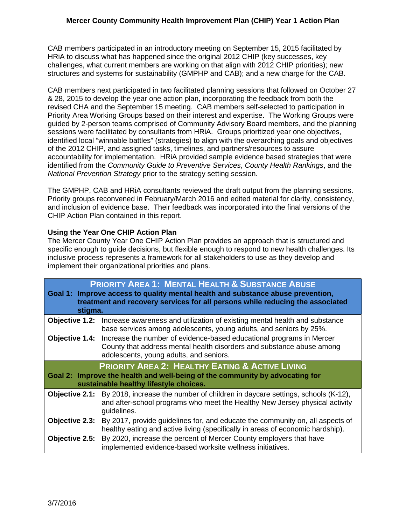CAB members participated in an introductory meeting on September 15, 2015 facilitated by HRiA to discuss what has happened since the original 2012 CHIP (key successes, key challenges, what current members are working on that align with 2012 CHIP priorities); new structures and systems for sustainability (GMPHP and CAB); and a new charge for the CAB.

CAB members next participated in two facilitated planning sessions that followed on October 27 & 28, 2015 to develop the year one action plan, incorporating the feedback from both the revised CHA and the September 15 meeting. CAB members self-selected to participation in Priority Area Working Groups based on their interest and expertise. The Working Groups were guided by 2-person teams comprised of Community Advisory Board members, and the planning sessions were facilitated by consultants from HRiA. Groups prioritized year one objectives, identified local "winnable battles" (strategies) to align with the overarching goals and objectives of the 2012 CHIP, and assigned tasks, timelines, and partners/resources to assure accountability for implementation. HRiA provided sample evidence based strategies that were identified from the *Community Guide to Preventive Services*, *County Health Rankings*, and the *National Prevention Strategy* prior to the strategy setting session.

The GMPHP, CAB and HRiA consultants reviewed the draft output from the planning sessions. Priority groups reconvened in February/March 2016 and edited material for clarity, consistency, and inclusion of evidence base. Their feedback was incorporated into the final versions of the CHIP Action Plan contained in this report.

#### **Using the Year One CHIP Action Plan**

The Mercer County Year One CHIP Action Plan provides an approach that is structured and specific enough to guide decisions, but flexible enough to respond to new health challenges. Its inclusive process represents a framework for all stakeholders to use as they develop and implement their organizational priorities and plans.

|                                                                                                                                                                                      | <b>PRIORITY AREA 1: MENTAL HEALTH &amp; SUBSTANCE ABUSE</b><br>Goal 1: Improve access to quality mental health and substance abuse prevention,<br>treatment and recovery services for all persons while reducing the associated<br>stigma. |  |  |  |  |  |  |  |  |  |
|--------------------------------------------------------------------------------------------------------------------------------------------------------------------------------------|--------------------------------------------------------------------------------------------------------------------------------------------------------------------------------------------------------------------------------------------|--|--|--|--|--|--|--|--|--|
| <b>Objective 1.2:</b>                                                                                                                                                                | Increase awareness and utilization of existing mental health and substance<br>base services among adolescents, young adults, and seniors by 25%.                                                                                           |  |  |  |  |  |  |  |  |  |
| <b>Objective 1.4:</b>                                                                                                                                                                | Increase the number of evidence-based educational programs in Mercer<br>County that address mental health disorders and substance abuse among<br>adolescents, young adults, and seniors.                                                   |  |  |  |  |  |  |  |  |  |
| <b>PRIORITY AREA 2: HEALTHY EATING &amp; ACTIVE LIVING</b><br>Goal 2: Improve the health and well-being of the community by advocating for<br>sustainable healthy lifestyle choices. |                                                                                                                                                                                                                                            |  |  |  |  |  |  |  |  |  |
|                                                                                                                                                                                      | <b>Objective 2.1:</b> By 2018, increase the number of children in daycare settings, schools (K-12),<br>and after-school programs who meet the Healthy New Jersey physical activity<br>guidelines.                                          |  |  |  |  |  |  |  |  |  |
| Objective 2.3:                                                                                                                                                                       | By 2017, provide guidelines for, and educate the community on, all aspects of<br>healthy eating and active living (specifically in areas of economic hardship).                                                                            |  |  |  |  |  |  |  |  |  |
| Objective 2.5:                                                                                                                                                                       | By 2020, increase the percent of Mercer County employers that have<br>implemented evidence-based worksite wellness initiatives.                                                                                                            |  |  |  |  |  |  |  |  |  |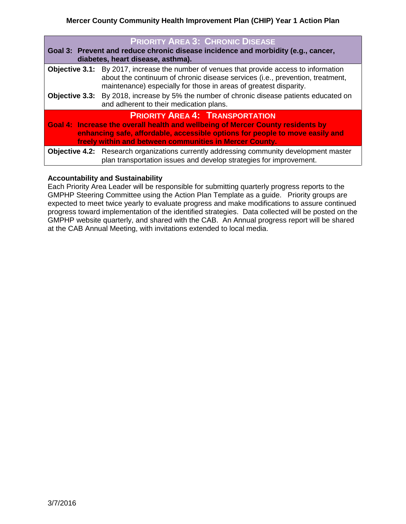| <b>PRIORITY AREA 3: CHRONIC DISEASE</b><br>Goal 3: Prevent and reduce chronic disease incidence and morbidity (e.g., cancer,<br>diabetes, heart disease, asthma).                                                                                                                                                                                         |  |  |  |  |  |  |  |
|-----------------------------------------------------------------------------------------------------------------------------------------------------------------------------------------------------------------------------------------------------------------------------------------------------------------------------------------------------------|--|--|--|--|--|--|--|
| <b>Objective 3.1:</b> By 2017, increase the number of venues that provide access to information<br>about the continuum of chronic disease services (i.e., prevention, treatment,<br>maintenance) especially for those in areas of greatest disparity.<br><b>Objective 3.3:</b> By 2018, increase by 5% the number of chronic disease patients educated on |  |  |  |  |  |  |  |
| and adherent to their medication plans.                                                                                                                                                                                                                                                                                                                   |  |  |  |  |  |  |  |
| <b>PRIORITY AREA 4: TRANSPORTATION</b><br>Goal 4: Increase the overall health and wellbeing of Mercer County residents by<br>enhancing safe, affordable, accessible options for people to move easily and<br>freely within and between communities in Mercer County.                                                                                      |  |  |  |  |  |  |  |
| <b>Objective 4.2:</b> Research organizations currently addressing community development master<br>plan transportation issues and develop strategies for improvement.                                                                                                                                                                                      |  |  |  |  |  |  |  |

#### **Accountability and Sustainability**

Each Priority Area Leader will be responsible for submitting quarterly progress reports to the GMPHP Steering Committee using the Action Plan Template as a guide. Priority groups are expected to meet twice yearly to evaluate progress and make modifications to assure continued progress toward implementation of the identified strategies. Data collected will be posted on the GMPHP website quarterly, and shared with the CAB. An Annual progress report will be shared at the CAB Annual Meeting, with invitations extended to local media.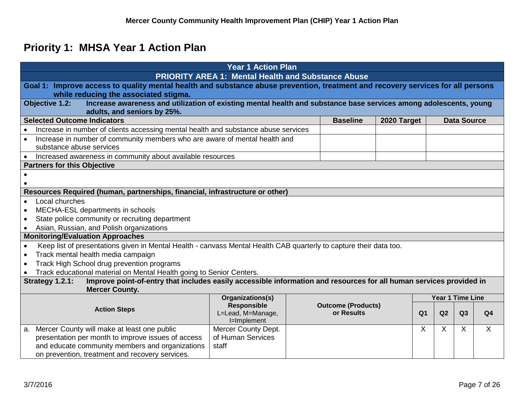# **Priority 1: MHSA Year 1 Action Plan**

<span id="page-6-0"></span>

|                                                                                                                                                                           | <b>Year 1 Action Plan</b>                                 |                           |             |                |    |                    |                |  |
|---------------------------------------------------------------------------------------------------------------------------------------------------------------------------|-----------------------------------------------------------|---------------------------|-------------|----------------|----|--------------------|----------------|--|
|                                                                                                                                                                           | <b>PRIORITY AREA 1: Mental Health and Substance Abuse</b> |                           |             |                |    |                    |                |  |
| Goal 1: Improve access to quality mental health and substance abuse prevention, treatment and recovery services for all persons<br>while reducing the associated stigma.  |                                                           |                           |             |                |    |                    |                |  |
| Increase awareness and utilization of existing mental health and substance base services among adolescents, young<br><b>Objective 1.2:</b><br>adults, and seniors by 25%. |                                                           |                           |             |                |    |                    |                |  |
| <b>Selected Outcome Indicators</b>                                                                                                                                        |                                                           | <b>Baseline</b>           | 2020 Target |                |    | <b>Data Source</b> |                |  |
| Increase in number of clients accessing mental health and substance abuse services                                                                                        |                                                           |                           |             |                |    |                    |                |  |
| Increase in number of community members who are aware of mental health and                                                                                                |                                                           |                           |             |                |    |                    |                |  |
| substance abuse services                                                                                                                                                  |                                                           |                           |             |                |    |                    |                |  |
| Increased awareness in community about available resources                                                                                                                |                                                           |                           |             |                |    |                    |                |  |
| <b>Partners for this Objective</b>                                                                                                                                        |                                                           |                           |             |                |    |                    |                |  |
|                                                                                                                                                                           |                                                           |                           |             |                |    |                    |                |  |
|                                                                                                                                                                           |                                                           |                           |             |                |    |                    |                |  |
| Resources Required (human, partnerships, financial, infrastructure or other)                                                                                              |                                                           |                           |             |                |    |                    |                |  |
| Local churches                                                                                                                                                            |                                                           |                           |             |                |    |                    |                |  |
| MECHA-ESL departments in schools                                                                                                                                          |                                                           |                           |             |                |    |                    |                |  |
| State police community or recruiting department<br>$\bullet$                                                                                                              |                                                           |                           |             |                |    |                    |                |  |
| Asian, Russian, and Polish organizations                                                                                                                                  |                                                           |                           |             |                |    |                    |                |  |
| <b>Monitoring/Evaluation Approaches</b>                                                                                                                                   |                                                           |                           |             |                |    |                    |                |  |
| Keep list of presentations given in Mental Health - canvass Mental Health CAB quarterly to capture their data too.<br>$\bullet$                                           |                                                           |                           |             |                |    |                    |                |  |
| Track mental health media campaign                                                                                                                                        |                                                           |                           |             |                |    |                    |                |  |
| Track High School drug prevention programs                                                                                                                                |                                                           |                           |             |                |    |                    |                |  |
| Track educational material on Mental Health going to Senior Centers.                                                                                                      |                                                           |                           |             |                |    |                    |                |  |
| Improve point-of-entry that includes easily accessible information and resources for all human services provided in<br>Strategy 1.2.1:<br><b>Mercer County.</b>           |                                                           |                           |             |                |    |                    |                |  |
|                                                                                                                                                                           | Organizations(s)                                          |                           |             |                |    | Year 1 Time Line   |                |  |
|                                                                                                                                                                           | <b>Responsible</b>                                        | <b>Outcome (Products)</b> |             |                |    |                    |                |  |
| <b>Action Steps</b>                                                                                                                                                       | L=Lead, M=Manage,                                         | or Results                |             | Q <sub>1</sub> | Q2 | Q3                 | Q <sub>4</sub> |  |
|                                                                                                                                                                           | I=Implement                                               |                           |             |                |    |                    |                |  |
| Mercer County will make at least one public<br>а.                                                                                                                         | Mercer County Dept.                                       |                           |             | $\sf X$        | X  | X                  | X              |  |
| presentation per month to improve issues of access                                                                                                                        | of Human Services                                         |                           |             |                |    |                    |                |  |
| and educate community members and organizations                                                                                                                           | staff                                                     |                           |             |                |    |                    |                |  |
| on prevention, treatment and recovery services.                                                                                                                           |                                                           |                           |             |                |    |                    |                |  |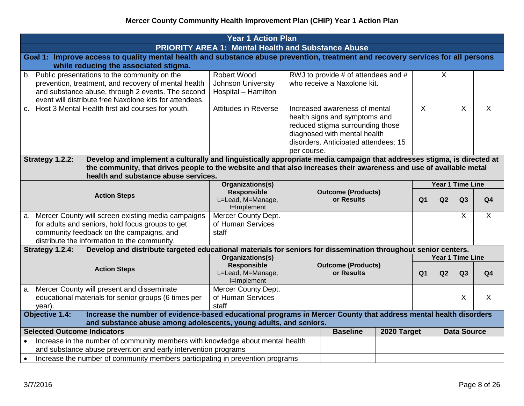| <b>Year 1 Action Plan</b>                                                                                                                                                                                                                                                                                |                                                                        |             |                                                                                                                                                                            |             |                |                  |                    |                |
|----------------------------------------------------------------------------------------------------------------------------------------------------------------------------------------------------------------------------------------------------------------------------------------------------------|------------------------------------------------------------------------|-------------|----------------------------------------------------------------------------------------------------------------------------------------------------------------------------|-------------|----------------|------------------|--------------------|----------------|
|                                                                                                                                                                                                                                                                                                          | <b>PRIORITY AREA 1: Mental Health and Substance Abuse</b>              |             |                                                                                                                                                                            |             |                |                  |                    |                |
| Goal 1: Improve access to quality mental health and substance abuse prevention, treatment and recovery services for all persons                                                                                                                                                                          |                                                                        |             |                                                                                                                                                                            |             |                |                  |                    |                |
| while reducing the associated stigma.                                                                                                                                                                                                                                                                    |                                                                        |             |                                                                                                                                                                            |             |                |                  |                    |                |
| b. Public presentations to the community on the<br>prevention, treatment, and recovery of mental health<br>and substance abuse, through 2 events. The second<br>event will distribute free Naxolone kits for attendees.                                                                                  | <b>Robert Wood</b><br><b>Johnson University</b><br>Hospital - Hamilton |             | RWJ to provide # of attendees and #<br>who receive a Naxolone kit.                                                                                                         |             |                | X                |                    |                |
| Host 3 Mental Health first aid courses for youth.<br>C.                                                                                                                                                                                                                                                  | <b>Attitudes in Reverse</b>                                            | per course. | Increased awareness of mental<br>health signs and symptoms and<br>reduced stigma surrounding those<br>diagnosed with mental health<br>disorders. Anticipated attendees: 15 |             | $\overline{X}$ |                  | $\overline{X}$     | $\overline{X}$ |
| Develop and implement a culturally and linguistically appropriate media campaign that addresses stigma, is directed at<br>Strategy 1.2.2:<br>the community, that drives people to the website and that also increases their awareness and use of available metal<br>health and substance abuse services. |                                                                        |             |                                                                                                                                                                            |             |                |                  |                    |                |
| Organizations(s)                                                                                                                                                                                                                                                                                         |                                                                        |             |                                                                                                                                                                            |             |                | Year 1 Time Line |                    |                |
| <b>Action Steps</b>                                                                                                                                                                                                                                                                                      | <b>Responsible</b><br>L=Lead, M=Manage,<br>I=Implement                 |             | <b>Outcome (Products)</b><br>or Results                                                                                                                                    |             | Q <sub>1</sub> | Q2               | Q3                 | Q <sub>4</sub> |
| Mercer County will screen existing media campaigns<br>a.                                                                                                                                                                                                                                                 | Mercer County Dept.                                                    |             |                                                                                                                                                                            |             |                |                  | $\sf X$            | $\sf X$        |
| for adults and seniors, hold focus groups to get                                                                                                                                                                                                                                                         | of Human Services                                                      |             |                                                                                                                                                                            |             |                |                  |                    |                |
| community feedback on the campaigns, and                                                                                                                                                                                                                                                                 | staff                                                                  |             |                                                                                                                                                                            |             |                |                  |                    |                |
| distribute the information to the community.                                                                                                                                                                                                                                                             |                                                                        |             |                                                                                                                                                                            |             |                |                  |                    |                |
| Strategy 1.2.4:<br>Develop and distribute targeted educational materials for seniors for dissemination throughout senior centers.                                                                                                                                                                        |                                                                        |             |                                                                                                                                                                            |             |                |                  |                    |                |
| Organizations(s)                                                                                                                                                                                                                                                                                         |                                                                        |             |                                                                                                                                                                            |             |                | Year 1 Time Line |                    |                |
| <b>Action Steps</b>                                                                                                                                                                                                                                                                                      | <b>Responsible</b><br>L=Lead, M=Manage,<br>I=Implement                 |             | <b>Outcome (Products)</b><br>or Results                                                                                                                                    |             | Q <sub>1</sub> | Q2               | Q3                 | Q <sub>4</sub> |
| a. Mercer County will present and disseminate<br>educational materials for senior groups (6 times per<br>year).                                                                                                                                                                                          | Mercer County Dept.<br>of Human Services<br>staff                      |             |                                                                                                                                                                            |             |                |                  | X                  | $\sf X$        |
| Objective 1.4:<br>Increase the number of evidence-based educational programs in Mercer County that address mental health disorders                                                                                                                                                                       |                                                                        |             |                                                                                                                                                                            |             |                |                  |                    |                |
| and substance abuse among adolescents, young adults, and seniors.                                                                                                                                                                                                                                        |                                                                        |             |                                                                                                                                                                            |             |                |                  |                    |                |
| <b>Selected Outcome Indicators</b>                                                                                                                                                                                                                                                                       |                                                                        |             | <b>Baseline</b>                                                                                                                                                            | 2020 Target |                |                  | <b>Data Source</b> |                |
| Increase in the number of community members with knowledge about mental health                                                                                                                                                                                                                           |                                                                        |             |                                                                                                                                                                            |             |                |                  |                    |                |
| and substance abuse prevention and early intervention programs                                                                                                                                                                                                                                           |                                                                        |             |                                                                                                                                                                            |             |                |                  |                    |                |
| Increase the number of community members participating in prevention programs<br>$\bullet$                                                                                                                                                                                                               |                                                                        |             |                                                                                                                                                                            |             |                |                  |                    |                |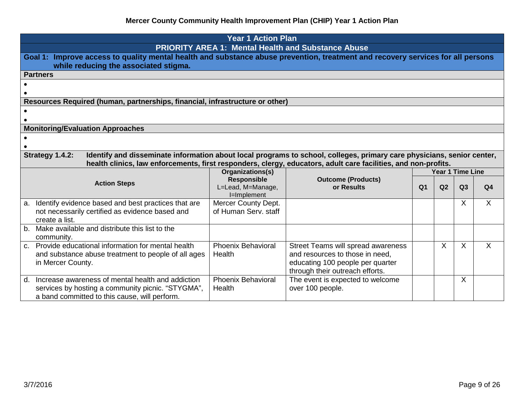|                     |                                                                                                                                                                          | <b>Year 1 Action Plan</b>              |                                                      |                |                |                  |                |  |  |  |  |
|---------------------|--------------------------------------------------------------------------------------------------------------------------------------------------------------------------|----------------------------------------|------------------------------------------------------|----------------|----------------|------------------|----------------|--|--|--|--|
|                     | <b>PRIORITY AREA 1: Mental Health and Substance Abuse</b>                                                                                                                |                                        |                                                      |                |                |                  |                |  |  |  |  |
|                     | Goal 1: Improve access to quality mental health and substance abuse prevention, treatment and recovery services for all persons<br>while reducing the associated stigma. |                                        |                                                      |                |                |                  |                |  |  |  |  |
|                     | <b>Partners</b>                                                                                                                                                          |                                        |                                                      |                |                |                  |                |  |  |  |  |
|                     |                                                                                                                                                                          |                                        |                                                      |                |                |                  |                |  |  |  |  |
|                     |                                                                                                                                                                          |                                        |                                                      |                |                |                  |                |  |  |  |  |
|                     | Resources Required (human, partnerships, financial, infrastructure or other)                                                                                             |                                        |                                                      |                |                |                  |                |  |  |  |  |
|                     |                                                                                                                                                                          |                                        |                                                      |                |                |                  |                |  |  |  |  |
|                     |                                                                                                                                                                          |                                        |                                                      |                |                |                  |                |  |  |  |  |
|                     | <b>Monitoring/Evaluation Approaches</b>                                                                                                                                  |                                        |                                                      |                |                |                  |                |  |  |  |  |
|                     |                                                                                                                                                                          |                                        |                                                      |                |                |                  |                |  |  |  |  |
|                     |                                                                                                                                                                          |                                        |                                                      |                |                |                  |                |  |  |  |  |
|                     | Strategy 1.4.2:<br>Identify and disseminate information about local programs to school, colleges, primary care physicians, senior center,                                |                                        |                                                      |                |                |                  |                |  |  |  |  |
|                     | health clinics, law enforcements, first responders, clergy, educators, adult care facilities, and non-profits.                                                           |                                        |                                                      |                |                |                  |                |  |  |  |  |
|                     |                                                                                                                                                                          | Organizations(s)<br><b>Responsible</b> | <b>Outcome (Products)</b>                            |                |                | Year 1 Time Line |                |  |  |  |  |
| <b>Action Steps</b> |                                                                                                                                                                          | L=Lead, M=Manage,                      | or Results                                           | Q <sub>1</sub> | Q <sub>2</sub> | Q3               | Q <sub>4</sub> |  |  |  |  |
|                     |                                                                                                                                                                          | I=Implement                            |                                                      |                |                |                  |                |  |  |  |  |
|                     | a. Identify evidence based and best practices that are                                                                                                                   | Mercer County Dept.                    |                                                      |                |                | X                | $\mathsf{X}$   |  |  |  |  |
|                     | not necessarily certified as evidence based and                                                                                                                          | of Human Serv. staff                   |                                                      |                |                |                  |                |  |  |  |  |
|                     | create a list.                                                                                                                                                           |                                        |                                                      |                |                |                  |                |  |  |  |  |
| $b_{-}$             | Make available and distribute this list to the                                                                                                                           |                                        |                                                      |                |                |                  |                |  |  |  |  |
|                     | community.                                                                                                                                                               |                                        |                                                      |                |                |                  |                |  |  |  |  |
|                     | c. Provide educational information for mental health                                                                                                                     | <b>Phoenix Behavioral</b>              | Street Teams will spread awareness                   |                | X              | $\sf X$          | $\mathsf{X}$   |  |  |  |  |
|                     | and substance abuse treatment to people of all ages                                                                                                                      | Health                                 | and resources to those in need,                      |                |                |                  |                |  |  |  |  |
|                     | in Mercer County.                                                                                                                                                        |                                        | educating 100 people per quarter                     |                |                |                  |                |  |  |  |  |
|                     | d. Increase awareness of mental health and addiction                                                                                                                     | <b>Phoenix Behavioral</b>              | through their outreach efforts.                      |                |                | X                |                |  |  |  |  |
|                     | services by hosting a community picnic. "STYGMA",                                                                                                                        | Health                                 | The event is expected to welcome<br>over 100 people. |                |                |                  |                |  |  |  |  |
|                     | a band committed to this cause, will perform.                                                                                                                            |                                        |                                                      |                |                |                  |                |  |  |  |  |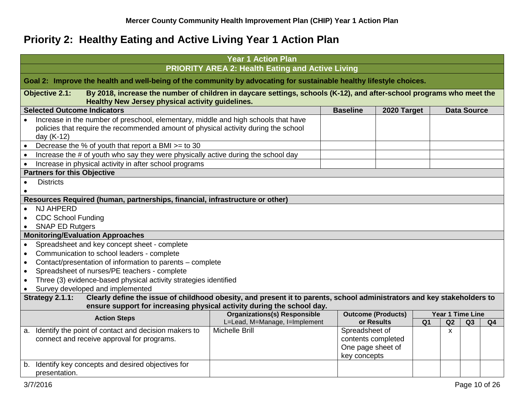# **Priority 2: Healthy Eating and Active Living Year 1 Action Plan**

<span id="page-9-0"></span>

| <b>PRIORITY AREA 2: Health Eating and Active Living</b><br>Goal 2: Improve the health and well-being of the community by advocating for sustainable healthy lifestyle choices.<br><b>Objective 2.1:</b><br>By 2018, increase the number of children in daycare settings, schools (K-12), and after-school programs who meet the<br><b>Healthy New Jersey physical activity guidelines.</b><br><b>Selected Outcome Indicators</b><br><b>Baseline</b><br>2020 Target<br><b>Data Source</b><br>Increase in the number of preschool, elementary, middle and high schools that have<br>policies that require the recommended amount of physical activity during the school<br>day (K-12)<br>Decrease the % of youth that report a BMI >= to 30<br>Increase the # of youth who say they were physically active during the school day<br>Increase in physical activity in after school programs<br><b>Partners for this Objective</b><br><b>Districts</b><br>$\bullet$<br>Resources Required (human, partnerships, financial, infrastructure or other)<br><b>NJ AHPERD</b><br><b>CDC School Funding</b><br><b>SNAP ED Rutgers</b><br><b>Monitoring/Evaluation Approaches</b><br>Spreadsheet and key concept sheet - complete<br>$\bullet$<br>Communication to school leaders - complete<br>$\bullet$<br>Contact/presentation of information to parents - complete<br>$\bullet$<br>Spreadsheet of nurses/PE teachers - complete<br>$\bullet$<br>Three (3) evidence-based physical activity strategies identified<br>$\bullet$<br>Survey developed and implemented<br>Strategy 2.1.1:<br>Clearly define the issue of childhood obesity, and present it to parents, school administrators and key stakeholders to<br>ensure support for increasing physical activity during the school day.<br><b>Organizations(s) Responsible</b><br><b>Outcome (Products)</b><br><b>Year 1 Time Line</b> |                     | <b>Year 1 Action Plan</b> |  |  |  |  |  |  |  |
|----------------------------------------------------------------------------------------------------------------------------------------------------------------------------------------------------------------------------------------------------------------------------------------------------------------------------------------------------------------------------------------------------------------------------------------------------------------------------------------------------------------------------------------------------------------------------------------------------------------------------------------------------------------------------------------------------------------------------------------------------------------------------------------------------------------------------------------------------------------------------------------------------------------------------------------------------------------------------------------------------------------------------------------------------------------------------------------------------------------------------------------------------------------------------------------------------------------------------------------------------------------------------------------------------------------------------------------------------------------------------------------------------------------------------------------------------------------------------------------------------------------------------------------------------------------------------------------------------------------------------------------------------------------------------------------------------------------------------------------------------------------------------------------------------------------------------------------------------------------------------------|---------------------|---------------------------|--|--|--|--|--|--|--|
|                                                                                                                                                                                                                                                                                                                                                                                                                                                                                                                                                                                                                                                                                                                                                                                                                                                                                                                                                                                                                                                                                                                                                                                                                                                                                                                                                                                                                                                                                                                                                                                                                                                                                                                                                                                                                                                                                  |                     |                           |  |  |  |  |  |  |  |
|                                                                                                                                                                                                                                                                                                                                                                                                                                                                                                                                                                                                                                                                                                                                                                                                                                                                                                                                                                                                                                                                                                                                                                                                                                                                                                                                                                                                                                                                                                                                                                                                                                                                                                                                                                                                                                                                                  |                     |                           |  |  |  |  |  |  |  |
|                                                                                                                                                                                                                                                                                                                                                                                                                                                                                                                                                                                                                                                                                                                                                                                                                                                                                                                                                                                                                                                                                                                                                                                                                                                                                                                                                                                                                                                                                                                                                                                                                                                                                                                                                                                                                                                                                  |                     |                           |  |  |  |  |  |  |  |
|                                                                                                                                                                                                                                                                                                                                                                                                                                                                                                                                                                                                                                                                                                                                                                                                                                                                                                                                                                                                                                                                                                                                                                                                                                                                                                                                                                                                                                                                                                                                                                                                                                                                                                                                                                                                                                                                                  |                     |                           |  |  |  |  |  |  |  |
|                                                                                                                                                                                                                                                                                                                                                                                                                                                                                                                                                                                                                                                                                                                                                                                                                                                                                                                                                                                                                                                                                                                                                                                                                                                                                                                                                                                                                                                                                                                                                                                                                                                                                                                                                                                                                                                                                  |                     |                           |  |  |  |  |  |  |  |
|                                                                                                                                                                                                                                                                                                                                                                                                                                                                                                                                                                                                                                                                                                                                                                                                                                                                                                                                                                                                                                                                                                                                                                                                                                                                                                                                                                                                                                                                                                                                                                                                                                                                                                                                                                                                                                                                                  |                     |                           |  |  |  |  |  |  |  |
|                                                                                                                                                                                                                                                                                                                                                                                                                                                                                                                                                                                                                                                                                                                                                                                                                                                                                                                                                                                                                                                                                                                                                                                                                                                                                                                                                                                                                                                                                                                                                                                                                                                                                                                                                                                                                                                                                  |                     |                           |  |  |  |  |  |  |  |
|                                                                                                                                                                                                                                                                                                                                                                                                                                                                                                                                                                                                                                                                                                                                                                                                                                                                                                                                                                                                                                                                                                                                                                                                                                                                                                                                                                                                                                                                                                                                                                                                                                                                                                                                                                                                                                                                                  |                     |                           |  |  |  |  |  |  |  |
|                                                                                                                                                                                                                                                                                                                                                                                                                                                                                                                                                                                                                                                                                                                                                                                                                                                                                                                                                                                                                                                                                                                                                                                                                                                                                                                                                                                                                                                                                                                                                                                                                                                                                                                                                                                                                                                                                  |                     |                           |  |  |  |  |  |  |  |
|                                                                                                                                                                                                                                                                                                                                                                                                                                                                                                                                                                                                                                                                                                                                                                                                                                                                                                                                                                                                                                                                                                                                                                                                                                                                                                                                                                                                                                                                                                                                                                                                                                                                                                                                                                                                                                                                                  |                     |                           |  |  |  |  |  |  |  |
|                                                                                                                                                                                                                                                                                                                                                                                                                                                                                                                                                                                                                                                                                                                                                                                                                                                                                                                                                                                                                                                                                                                                                                                                                                                                                                                                                                                                                                                                                                                                                                                                                                                                                                                                                                                                                                                                                  |                     |                           |  |  |  |  |  |  |  |
|                                                                                                                                                                                                                                                                                                                                                                                                                                                                                                                                                                                                                                                                                                                                                                                                                                                                                                                                                                                                                                                                                                                                                                                                                                                                                                                                                                                                                                                                                                                                                                                                                                                                                                                                                                                                                                                                                  |                     |                           |  |  |  |  |  |  |  |
|                                                                                                                                                                                                                                                                                                                                                                                                                                                                                                                                                                                                                                                                                                                                                                                                                                                                                                                                                                                                                                                                                                                                                                                                                                                                                                                                                                                                                                                                                                                                                                                                                                                                                                                                                                                                                                                                                  |                     |                           |  |  |  |  |  |  |  |
|                                                                                                                                                                                                                                                                                                                                                                                                                                                                                                                                                                                                                                                                                                                                                                                                                                                                                                                                                                                                                                                                                                                                                                                                                                                                                                                                                                                                                                                                                                                                                                                                                                                                                                                                                                                                                                                                                  |                     |                           |  |  |  |  |  |  |  |
|                                                                                                                                                                                                                                                                                                                                                                                                                                                                                                                                                                                                                                                                                                                                                                                                                                                                                                                                                                                                                                                                                                                                                                                                                                                                                                                                                                                                                                                                                                                                                                                                                                                                                                                                                                                                                                                                                  |                     |                           |  |  |  |  |  |  |  |
|                                                                                                                                                                                                                                                                                                                                                                                                                                                                                                                                                                                                                                                                                                                                                                                                                                                                                                                                                                                                                                                                                                                                                                                                                                                                                                                                                                                                                                                                                                                                                                                                                                                                                                                                                                                                                                                                                  |                     |                           |  |  |  |  |  |  |  |
|                                                                                                                                                                                                                                                                                                                                                                                                                                                                                                                                                                                                                                                                                                                                                                                                                                                                                                                                                                                                                                                                                                                                                                                                                                                                                                                                                                                                                                                                                                                                                                                                                                                                                                                                                                                                                                                                                  |                     |                           |  |  |  |  |  |  |  |
|                                                                                                                                                                                                                                                                                                                                                                                                                                                                                                                                                                                                                                                                                                                                                                                                                                                                                                                                                                                                                                                                                                                                                                                                                                                                                                                                                                                                                                                                                                                                                                                                                                                                                                                                                                                                                                                                                  |                     |                           |  |  |  |  |  |  |  |
|                                                                                                                                                                                                                                                                                                                                                                                                                                                                                                                                                                                                                                                                                                                                                                                                                                                                                                                                                                                                                                                                                                                                                                                                                                                                                                                                                                                                                                                                                                                                                                                                                                                                                                                                                                                                                                                                                  |                     |                           |  |  |  |  |  |  |  |
|                                                                                                                                                                                                                                                                                                                                                                                                                                                                                                                                                                                                                                                                                                                                                                                                                                                                                                                                                                                                                                                                                                                                                                                                                                                                                                                                                                                                                                                                                                                                                                                                                                                                                                                                                                                                                                                                                  |                     |                           |  |  |  |  |  |  |  |
|                                                                                                                                                                                                                                                                                                                                                                                                                                                                                                                                                                                                                                                                                                                                                                                                                                                                                                                                                                                                                                                                                                                                                                                                                                                                                                                                                                                                                                                                                                                                                                                                                                                                                                                                                                                                                                                                                  |                     |                           |  |  |  |  |  |  |  |
|                                                                                                                                                                                                                                                                                                                                                                                                                                                                                                                                                                                                                                                                                                                                                                                                                                                                                                                                                                                                                                                                                                                                                                                                                                                                                                                                                                                                                                                                                                                                                                                                                                                                                                                                                                                                                                                                                  |                     |                           |  |  |  |  |  |  |  |
|                                                                                                                                                                                                                                                                                                                                                                                                                                                                                                                                                                                                                                                                                                                                                                                                                                                                                                                                                                                                                                                                                                                                                                                                                                                                                                                                                                                                                                                                                                                                                                                                                                                                                                                                                                                                                                                                                  |                     |                           |  |  |  |  |  |  |  |
|                                                                                                                                                                                                                                                                                                                                                                                                                                                                                                                                                                                                                                                                                                                                                                                                                                                                                                                                                                                                                                                                                                                                                                                                                                                                                                                                                                                                                                                                                                                                                                                                                                                                                                                                                                                                                                                                                  |                     |                           |  |  |  |  |  |  |  |
| L=Lead, M=Manage, I=Implement<br>or Results<br>Q <sub>1</sub><br>Q2<br>Q3<br>Q4                                                                                                                                                                                                                                                                                                                                                                                                                                                                                                                                                                                                                                                                                                                                                                                                                                                                                                                                                                                                                                                                                                                                                                                                                                                                                                                                                                                                                                                                                                                                                                                                                                                                                                                                                                                                  | <b>Action Steps</b> |                           |  |  |  |  |  |  |  |
| <b>Michelle Brill</b><br>Identify the point of contact and decision makers to<br>Spreadsheet of<br>a.<br>X                                                                                                                                                                                                                                                                                                                                                                                                                                                                                                                                                                                                                                                                                                                                                                                                                                                                                                                                                                                                                                                                                                                                                                                                                                                                                                                                                                                                                                                                                                                                                                                                                                                                                                                                                                       |                     |                           |  |  |  |  |  |  |  |
| connect and receive approval for programs.<br>contents completed                                                                                                                                                                                                                                                                                                                                                                                                                                                                                                                                                                                                                                                                                                                                                                                                                                                                                                                                                                                                                                                                                                                                                                                                                                                                                                                                                                                                                                                                                                                                                                                                                                                                                                                                                                                                                 |                     |                           |  |  |  |  |  |  |  |
| One page sheet of                                                                                                                                                                                                                                                                                                                                                                                                                                                                                                                                                                                                                                                                                                                                                                                                                                                                                                                                                                                                                                                                                                                                                                                                                                                                                                                                                                                                                                                                                                                                                                                                                                                                                                                                                                                                                                                                |                     |                           |  |  |  |  |  |  |  |
| key concepts                                                                                                                                                                                                                                                                                                                                                                                                                                                                                                                                                                                                                                                                                                                                                                                                                                                                                                                                                                                                                                                                                                                                                                                                                                                                                                                                                                                                                                                                                                                                                                                                                                                                                                                                                                                                                                                                     |                     |                           |  |  |  |  |  |  |  |
| Identify key concepts and desired objectives for<br>b.                                                                                                                                                                                                                                                                                                                                                                                                                                                                                                                                                                                                                                                                                                                                                                                                                                                                                                                                                                                                                                                                                                                                                                                                                                                                                                                                                                                                                                                                                                                                                                                                                                                                                                                                                                                                                           |                     |                           |  |  |  |  |  |  |  |
| presentation.                                                                                                                                                                                                                                                                                                                                                                                                                                                                                                                                                                                                                                                                                                                                                                                                                                                                                                                                                                                                                                                                                                                                                                                                                                                                                                                                                                                                                                                                                                                                                                                                                                                                                                                                                                                                                                                                    |                     |                           |  |  |  |  |  |  |  |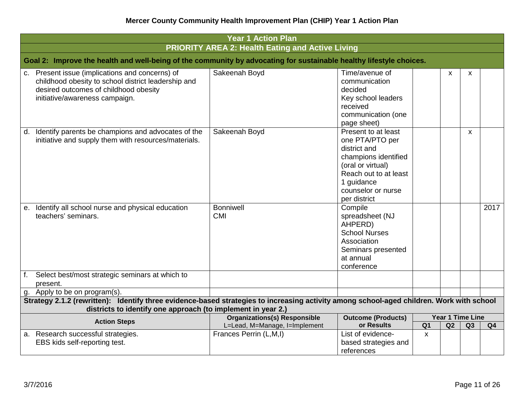| <b>Year 1 Action Plan</b>                                                                                                                                                            |                                                                                                                                          |                                                                                                                                                                                  |                |                               |    |                |  |  |
|--------------------------------------------------------------------------------------------------------------------------------------------------------------------------------------|------------------------------------------------------------------------------------------------------------------------------------------|----------------------------------------------------------------------------------------------------------------------------------------------------------------------------------|----------------|-------------------------------|----|----------------|--|--|
|                                                                                                                                                                                      | <b>PRIORITY AREA 2: Health Eating and Active Living</b>                                                                                  |                                                                                                                                                                                  |                |                               |    |                |  |  |
|                                                                                                                                                                                      | Goal 2: Improve the health and well-being of the community by advocating for sustainable healthy lifestyle choices.                      |                                                                                                                                                                                  |                |                               |    |                |  |  |
| Present issue (implications and concerns) of<br>C.<br>childhood obesity to school district leadership and<br>desired outcomes of childhood obesity<br>initiative/awareness campaign. | Sakeenah Boyd                                                                                                                            | Time/avenue of<br>communication<br>decided<br>Key school leaders<br>received<br>communication (one<br>page sheet)                                                                |                | X                             | X  |                |  |  |
| Identify parents be champions and advocates of the<br>d.<br>initiative and supply them with resources/materials.                                                                     | Sakeenah Boyd                                                                                                                            | Present to at least<br>one PTA/PTO per<br>district and<br>champions identified<br>(oral or virtual)<br>Reach out to at least<br>1 guidance<br>counselor or nurse<br>per district |                |                               | X  |                |  |  |
| Identify all school nurse and physical education<br>е.<br>teachers' seminars.                                                                                                        | <b>Bonniwell</b><br><b>CMI</b>                                                                                                           | Compile<br>spreadsheet (NJ<br>AHPERD)<br><b>School Nurses</b><br>Association<br>Seminars presented<br>at annual<br>conference                                                    |                |                               |    | 2017           |  |  |
| f. Select best/most strategic seminars at which to<br>present.                                                                                                                       |                                                                                                                                          |                                                                                                                                                                                  |                |                               |    |                |  |  |
| g. Apply to be on program(s).                                                                                                                                                        |                                                                                                                                          |                                                                                                                                                                                  |                |                               |    |                |  |  |
|                                                                                                                                                                                      | Strategy 2.1.2 (rewritten): Identify three evidence-based strategies to increasing activity among school-aged children. Work with school |                                                                                                                                                                                  |                |                               |    |                |  |  |
| districts to identify one approach (to implement in year 2.)                                                                                                                         |                                                                                                                                          |                                                                                                                                                                                  |                |                               |    |                |  |  |
| <b>Action Steps</b>                                                                                                                                                                  | <b>Organizations(s) Responsible</b><br>L=Lead, M=Manage, I=Implement                                                                     | <b>Outcome (Products)</b><br>or Results                                                                                                                                          | Q <sub>1</sub> | <b>Year 1 Time Line</b><br>Q2 | Q3 | Q <sub>4</sub> |  |  |
| a. Research successful strategies.<br>EBS kids self-reporting test.                                                                                                                  | Frances Perrin (L,M,I)                                                                                                                   | List of evidence-<br>based strategies and<br>references                                                                                                                          | $\mathbf{x}$   |                               |    |                |  |  |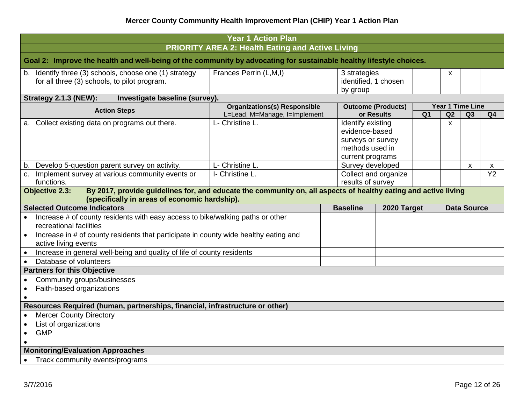|                                                                                                              |                                                                                                                                         | <b>Year 1 Action Plan</b>                               |                                                                                                 |                           |                |                  |    |                 |  |  |
|--------------------------------------------------------------------------------------------------------------|-----------------------------------------------------------------------------------------------------------------------------------------|---------------------------------------------------------|-------------------------------------------------------------------------------------------------|---------------------------|----------------|------------------|----|-----------------|--|--|
|                                                                                                              | Goal 2: Improve the health and well-being of the community by advocating for sustainable healthy lifestyle choices.                     | <b>PRIORITY AREA 2: Health Eating and Active Living</b> |                                                                                                 |                           |                |                  |    |                 |  |  |
|                                                                                                              | b. Identify three (3) schools, choose one (1) strategy<br>for all three (3) schools, to pilot program.                                  | Frances Perrin (L,M,I)                                  | 3 strategies<br>by group                                                                        | identified, 1 chosen      |                | X                |    |                 |  |  |
|                                                                                                              | <b>Strategy 2.1.3 (NEW):</b><br>Investigate baseline (survey).                                                                          |                                                         |                                                                                                 |                           |                |                  |    |                 |  |  |
|                                                                                                              | <b>Action Steps</b>                                                                                                                     | <b>Organizations(s) Responsible</b>                     |                                                                                                 | <b>Outcome (Products)</b> |                | Year 1 Time Line |    |                 |  |  |
|                                                                                                              |                                                                                                                                         | L=Lead, M=Manage, I=Implement                           |                                                                                                 | or Results                | Q <sub>1</sub> | Q2               | Q3 | Q <sub>4</sub>  |  |  |
| а.                                                                                                           | Collect existing data on programs out there.                                                                                            | L- Christine L.                                         | Identify existing<br>evidence-based<br>surveys or survey<br>methods used in<br>current programs |                           |                | $\mathsf{x}$     |    |                 |  |  |
| b.                                                                                                           | Develop 5-question parent survey on activity.                                                                                           | L- Christine L.                                         |                                                                                                 | Survey developed          |                |                  | X  | X               |  |  |
|                                                                                                              | c. Implement survey at various community events or<br>functions.                                                                        | I- Christine L.                                         | results of survey                                                                               | Collect and organize      |                |                  |    | $\overline{Y2}$ |  |  |
|                                                                                                              | By 2017, provide guidelines for, and educate the community on, all aspects of healthy eating and active living<br><b>Objective 2.3:</b> |                                                         |                                                                                                 |                           |                |                  |    |                 |  |  |
| (specifically in areas of economic hardship).                                                                |                                                                                                                                         |                                                         |                                                                                                 |                           |                |                  |    |                 |  |  |
|                                                                                                              | <b>Selected Outcome Indicators</b><br><b>Baseline</b><br>2020 Target<br><b>Data Source</b>                                              |                                                         |                                                                                                 |                           |                |                  |    |                 |  |  |
| Increase # of county residents with easy access to bike/walking paths or other<br>recreational facilities    |                                                                                                                                         |                                                         |                                                                                                 |                           |                |                  |    |                 |  |  |
| Increase in # of county residents that participate in county wide healthy eating and<br>active living events |                                                                                                                                         |                                                         |                                                                                                 |                           |                |                  |    |                 |  |  |
|                                                                                                              | Increase in general well-being and quality of life of county residents                                                                  |                                                         |                                                                                                 |                           |                |                  |    |                 |  |  |
|                                                                                                              | Database of volunteers                                                                                                                  |                                                         |                                                                                                 |                           |                |                  |    |                 |  |  |
|                                                                                                              | <b>Partners for this Objective</b>                                                                                                      |                                                         |                                                                                                 |                           |                |                  |    |                 |  |  |
|                                                                                                              | Community groups/businesses                                                                                                             |                                                         |                                                                                                 |                           |                |                  |    |                 |  |  |
| $\bullet$                                                                                                    | Faith-based organizations                                                                                                               |                                                         |                                                                                                 |                           |                |                  |    |                 |  |  |
|                                                                                                              |                                                                                                                                         |                                                         |                                                                                                 |                           |                |                  |    |                 |  |  |
|                                                                                                              | Resources Required (human, partnerships, financial, infrastructure or other)                                                            |                                                         |                                                                                                 |                           |                |                  |    |                 |  |  |
|                                                                                                              | <b>Mercer County Directory</b>                                                                                                          |                                                         |                                                                                                 |                           |                |                  |    |                 |  |  |
|                                                                                                              | List of organizations                                                                                                                   |                                                         |                                                                                                 |                           |                |                  |    |                 |  |  |
| $\bullet$                                                                                                    | <b>GMP</b>                                                                                                                              |                                                         |                                                                                                 |                           |                |                  |    |                 |  |  |
|                                                                                                              |                                                                                                                                         |                                                         |                                                                                                 |                           |                |                  |    |                 |  |  |
|                                                                                                              | <b>Monitoring/Evaluation Approaches</b>                                                                                                 |                                                         |                                                                                                 |                           |                |                  |    |                 |  |  |
|                                                                                                              | Track community events/programs                                                                                                         |                                                         |                                                                                                 |                           |                |                  |    |                 |  |  |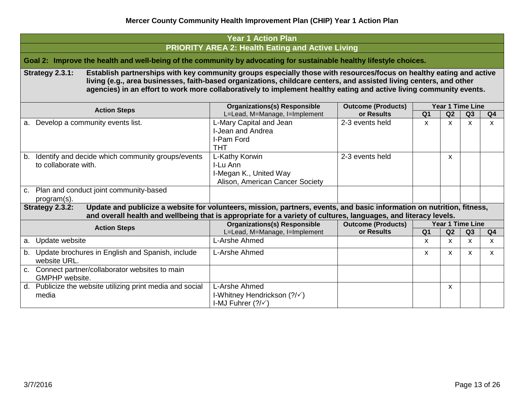| <b>Year 1 Action Plan</b>                                                                                                                                                                                                                                                                                                                                                            |                                                                                                           |                               |                                  |                    |                    |                                             |  |  |  |  |  |
|--------------------------------------------------------------------------------------------------------------------------------------------------------------------------------------------------------------------------------------------------------------------------------------------------------------------------------------------------------------------------------------|-----------------------------------------------------------------------------------------------------------|-------------------------------|----------------------------------|--------------------|--------------------|---------------------------------------------|--|--|--|--|--|
| <b>PRIORITY AREA 2: Health Eating and Active Living</b><br>Goal 2: Improve the health and well-being of the community by advocating for sustainable healthy lifestyle choices.                                                                                                                                                                                                       |                                                                                                           |                               |                                  |                    |                    |                                             |  |  |  |  |  |
| Establish partnerships with key community groups especially those with resources/focus on healthy eating and active<br>Strategy 2.3.1:<br>living (e.g., area businesses, faith-based organizations, childcare centers, and assisted living centers, and other<br>agencies) in an effort to work more collaboratively to implement healthy eating and active living community events. |                                                                                                           |                               |                                  |                    |                    |                                             |  |  |  |  |  |
| <b>Year 1 Time Line</b><br><b>Organizations(s) Responsible</b><br><b>Outcome (Products)</b><br><b>Action Steps</b>                                                                                                                                                                                                                                                                   |                                                                                                           |                               |                                  |                    |                    |                                             |  |  |  |  |  |
| a. Develop a community events list.                                                                                                                                                                                                                                                                                                                                                  | L=Lead, M=Manage, I=Implement<br>L-Mary Capital and Jean<br>I-Jean and Andrea<br>I-Pam Ford<br><b>THT</b> | or Results<br>2-3 events held | $\overline{Q}$ 1<br>$\mathsf{x}$ | Q2<br>X            | Q3<br>X            | Q <sub>4</sub><br>$\boldsymbol{\mathsf{x}}$ |  |  |  |  |  |
| b. Identify and decide which community groups/events<br>to collaborate with.                                                                                                                                                                                                                                                                                                         | L-Kathy Korwin<br>I-Lu Ann<br>I-Megan K., United Way<br>Alison, American Cancer Society                   | 2-3 events held               |                                  | X                  |                    |                                             |  |  |  |  |  |
| c. Plan and conduct joint community-based<br>program(s).                                                                                                                                                                                                                                                                                                                             |                                                                                                           |                               |                                  |                    |                    |                                             |  |  |  |  |  |
| Update and publicize a website for volunteers, mission, partners, events, and basic information on nutrition, fitness,<br>Strategy 2.3.2:<br>and overall health and wellbeing that is appropriate for a variety of cultures, languages, and literacy levels.                                                                                                                         |                                                                                                           |                               |                                  |                    |                    |                                             |  |  |  |  |  |
| <b>Action Steps</b>                                                                                                                                                                                                                                                                                                                                                                  | <b>Organizations(s) Responsible</b>                                                                       | <b>Outcome (Products)</b>     |                                  | Year 1 Time Line   |                    |                                             |  |  |  |  |  |
| a. Update website                                                                                                                                                                                                                                                                                                                                                                    | L=Lead, M=Manage, I=Implement<br>L-Arshe Ahmed                                                            | or Results                    | Q <sub>1</sub><br>$\mathsf{x}$   | Q2<br>$\mathsf{x}$ | Q3<br>$\mathsf{x}$ | Q <sub>4</sub><br>$\mathsf{x}$              |  |  |  |  |  |
| b. Update brochures in English and Spanish, include<br>website URL.                                                                                                                                                                                                                                                                                                                  | L-Arshe Ahmed                                                                                             |                               | $\mathsf{x}$                     | X                  | X                  | $\mathsf{x}$                                |  |  |  |  |  |
| c. Connect partner/collaborator websites to main<br>GMPHP website.                                                                                                                                                                                                                                                                                                                   |                                                                                                           |                               |                                  |                    |                    |                                             |  |  |  |  |  |
| d. Publicize the website utilizing print media and social<br>media                                                                                                                                                                                                                                                                                                                   | L-Arshe Ahmed<br>I-Whitney Hendrickson (?/√)<br>I-MJ Fuhrer $(?\sqrt{)}$                                  |                               |                                  | X                  |                    |                                             |  |  |  |  |  |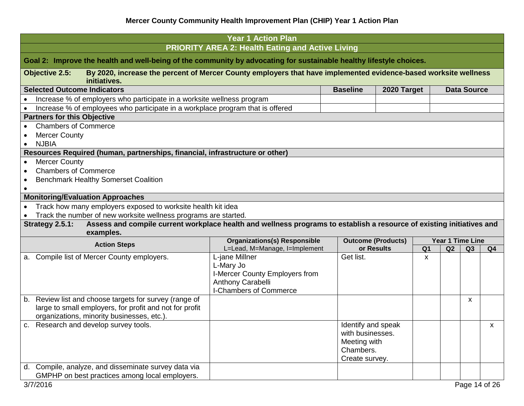| <b>PRIORITY AREA 2: Health Eating and Active Living</b><br>Goal 2: Improve the health and well-being of the community by advocating for sustainable healthy lifestyle choices.<br>By 2020, increase the percent of Mercer County employers that have implemented evidence-based worksite wellness<br><b>Objective 2.5:</b><br>initiatives.<br><b>Selected Outcome Indicators</b><br><b>Baseline</b><br><b>Data Source</b><br>2020 Target<br>Increase % of employers who participate in a worksite wellness program<br>Increase % of employees who participate in a workplace program that is offered<br><b>Partners for this Objective</b><br><b>Chambers of Commerce</b><br><b>Mercer County</b><br><b>NJBIA</b><br>Resources Required (human, partnerships, financial, infrastructure or other)<br><b>Mercer County</b><br>$\bullet$<br><b>Chambers of Commerce</b><br><b>Benchmark Healthy Somerset Coalition</b><br>$\bullet$<br><b>Monitoring/Evaluation Approaches</b><br>Track how many employers exposed to worksite health kit idea<br>Track the number of new worksite wellness programs are started.<br>Assess and compile current workplace health and wellness programs to establish a resource of existing initiatives and<br>Strategy 2.5.1:<br>examples.<br><b>Organizations(s) Responsible</b><br>Year 1 Time Line<br><b>Outcome (Products)</b><br><b>Action Steps</b><br>L=Lead, M=Manage, I=Implement<br>Q <sub>1</sub><br>or Results<br>Q2<br>Q <sub>4</sub><br>Q <sub>3</sub><br>a. Compile list of Mercer County employers.<br>L-jane Millner<br>Get list.<br>X<br>L-Mary Jo |
|----------------------------------------------------------------------------------------------------------------------------------------------------------------------------------------------------------------------------------------------------------------------------------------------------------------------------------------------------------------------------------------------------------------------------------------------------------------------------------------------------------------------------------------------------------------------------------------------------------------------------------------------------------------------------------------------------------------------------------------------------------------------------------------------------------------------------------------------------------------------------------------------------------------------------------------------------------------------------------------------------------------------------------------------------------------------------------------------------------------------------------------------------------------------------------------------------------------------------------------------------------------------------------------------------------------------------------------------------------------------------------------------------------------------------------------------------------------------------------------------------------------------------------------------------------------------------------------------------|
|                                                                                                                                                                                                                                                                                                                                                                                                                                                                                                                                                                                                                                                                                                                                                                                                                                                                                                                                                                                                                                                                                                                                                                                                                                                                                                                                                                                                                                                                                                                                                                                                    |
|                                                                                                                                                                                                                                                                                                                                                                                                                                                                                                                                                                                                                                                                                                                                                                                                                                                                                                                                                                                                                                                                                                                                                                                                                                                                                                                                                                                                                                                                                                                                                                                                    |
|                                                                                                                                                                                                                                                                                                                                                                                                                                                                                                                                                                                                                                                                                                                                                                                                                                                                                                                                                                                                                                                                                                                                                                                                                                                                                                                                                                                                                                                                                                                                                                                                    |
|                                                                                                                                                                                                                                                                                                                                                                                                                                                                                                                                                                                                                                                                                                                                                                                                                                                                                                                                                                                                                                                                                                                                                                                                                                                                                                                                                                                                                                                                                                                                                                                                    |
|                                                                                                                                                                                                                                                                                                                                                                                                                                                                                                                                                                                                                                                                                                                                                                                                                                                                                                                                                                                                                                                                                                                                                                                                                                                                                                                                                                                                                                                                                                                                                                                                    |
|                                                                                                                                                                                                                                                                                                                                                                                                                                                                                                                                                                                                                                                                                                                                                                                                                                                                                                                                                                                                                                                                                                                                                                                                                                                                                                                                                                                                                                                                                                                                                                                                    |
|                                                                                                                                                                                                                                                                                                                                                                                                                                                                                                                                                                                                                                                                                                                                                                                                                                                                                                                                                                                                                                                                                                                                                                                                                                                                                                                                                                                                                                                                                                                                                                                                    |
|                                                                                                                                                                                                                                                                                                                                                                                                                                                                                                                                                                                                                                                                                                                                                                                                                                                                                                                                                                                                                                                                                                                                                                                                                                                                                                                                                                                                                                                                                                                                                                                                    |
|                                                                                                                                                                                                                                                                                                                                                                                                                                                                                                                                                                                                                                                                                                                                                                                                                                                                                                                                                                                                                                                                                                                                                                                                                                                                                                                                                                                                                                                                                                                                                                                                    |
|                                                                                                                                                                                                                                                                                                                                                                                                                                                                                                                                                                                                                                                                                                                                                                                                                                                                                                                                                                                                                                                                                                                                                                                                                                                                                                                                                                                                                                                                                                                                                                                                    |
|                                                                                                                                                                                                                                                                                                                                                                                                                                                                                                                                                                                                                                                                                                                                                                                                                                                                                                                                                                                                                                                                                                                                                                                                                                                                                                                                                                                                                                                                                                                                                                                                    |
|                                                                                                                                                                                                                                                                                                                                                                                                                                                                                                                                                                                                                                                                                                                                                                                                                                                                                                                                                                                                                                                                                                                                                                                                                                                                                                                                                                                                                                                                                                                                                                                                    |
|                                                                                                                                                                                                                                                                                                                                                                                                                                                                                                                                                                                                                                                                                                                                                                                                                                                                                                                                                                                                                                                                                                                                                                                                                                                                                                                                                                                                                                                                                                                                                                                                    |
|                                                                                                                                                                                                                                                                                                                                                                                                                                                                                                                                                                                                                                                                                                                                                                                                                                                                                                                                                                                                                                                                                                                                                                                                                                                                                                                                                                                                                                                                                                                                                                                                    |
|                                                                                                                                                                                                                                                                                                                                                                                                                                                                                                                                                                                                                                                                                                                                                                                                                                                                                                                                                                                                                                                                                                                                                                                                                                                                                                                                                                                                                                                                                                                                                                                                    |
|                                                                                                                                                                                                                                                                                                                                                                                                                                                                                                                                                                                                                                                                                                                                                                                                                                                                                                                                                                                                                                                                                                                                                                                                                                                                                                                                                                                                                                                                                                                                                                                                    |
|                                                                                                                                                                                                                                                                                                                                                                                                                                                                                                                                                                                                                                                                                                                                                                                                                                                                                                                                                                                                                                                                                                                                                                                                                                                                                                                                                                                                                                                                                                                                                                                                    |
|                                                                                                                                                                                                                                                                                                                                                                                                                                                                                                                                                                                                                                                                                                                                                                                                                                                                                                                                                                                                                                                                                                                                                                                                                                                                                                                                                                                                                                                                                                                                                                                                    |
|                                                                                                                                                                                                                                                                                                                                                                                                                                                                                                                                                                                                                                                                                                                                                                                                                                                                                                                                                                                                                                                                                                                                                                                                                                                                                                                                                                                                                                                                                                                                                                                                    |
|                                                                                                                                                                                                                                                                                                                                                                                                                                                                                                                                                                                                                                                                                                                                                                                                                                                                                                                                                                                                                                                                                                                                                                                                                                                                                                                                                                                                                                                                                                                                                                                                    |
|                                                                                                                                                                                                                                                                                                                                                                                                                                                                                                                                                                                                                                                                                                                                                                                                                                                                                                                                                                                                                                                                                                                                                                                                                                                                                                                                                                                                                                                                                                                                                                                                    |
|                                                                                                                                                                                                                                                                                                                                                                                                                                                                                                                                                                                                                                                                                                                                                                                                                                                                                                                                                                                                                                                                                                                                                                                                                                                                                                                                                                                                                                                                                                                                                                                                    |
|                                                                                                                                                                                                                                                                                                                                                                                                                                                                                                                                                                                                                                                                                                                                                                                                                                                                                                                                                                                                                                                                                                                                                                                                                                                                                                                                                                                                                                                                                                                                                                                                    |
| I-Mercer County Employers from                                                                                                                                                                                                                                                                                                                                                                                                                                                                                                                                                                                                                                                                                                                                                                                                                                                                                                                                                                                                                                                                                                                                                                                                                                                                                                                                                                                                                                                                                                                                                                     |
| Anthony Carabelli                                                                                                                                                                                                                                                                                                                                                                                                                                                                                                                                                                                                                                                                                                                                                                                                                                                                                                                                                                                                                                                                                                                                                                                                                                                                                                                                                                                                                                                                                                                                                                                  |
| <b>I-Chambers of Commerce</b>                                                                                                                                                                                                                                                                                                                                                                                                                                                                                                                                                                                                                                                                                                                                                                                                                                                                                                                                                                                                                                                                                                                                                                                                                                                                                                                                                                                                                                                                                                                                                                      |
| b. Review list and choose targets for survey (range of<br>x                                                                                                                                                                                                                                                                                                                                                                                                                                                                                                                                                                                                                                                                                                                                                                                                                                                                                                                                                                                                                                                                                                                                                                                                                                                                                                                                                                                                                                                                                                                                        |
| large to small employers, for profit and not for profit                                                                                                                                                                                                                                                                                                                                                                                                                                                                                                                                                                                                                                                                                                                                                                                                                                                                                                                                                                                                                                                                                                                                                                                                                                                                                                                                                                                                                                                                                                                                            |
| organizations, minority businesses, etc.).                                                                                                                                                                                                                                                                                                                                                                                                                                                                                                                                                                                                                                                                                                                                                                                                                                                                                                                                                                                                                                                                                                                                                                                                                                                                                                                                                                                                                                                                                                                                                         |
| c. Research and develop survey tools.<br>Identify and speak<br>X                                                                                                                                                                                                                                                                                                                                                                                                                                                                                                                                                                                                                                                                                                                                                                                                                                                                                                                                                                                                                                                                                                                                                                                                                                                                                                                                                                                                                                                                                                                                   |
| with businesses.                                                                                                                                                                                                                                                                                                                                                                                                                                                                                                                                                                                                                                                                                                                                                                                                                                                                                                                                                                                                                                                                                                                                                                                                                                                                                                                                                                                                                                                                                                                                                                                   |
| Meeting with                                                                                                                                                                                                                                                                                                                                                                                                                                                                                                                                                                                                                                                                                                                                                                                                                                                                                                                                                                                                                                                                                                                                                                                                                                                                                                                                                                                                                                                                                                                                                                                       |
| Chambers.<br>Create survey.                                                                                                                                                                                                                                                                                                                                                                                                                                                                                                                                                                                                                                                                                                                                                                                                                                                                                                                                                                                                                                                                                                                                                                                                                                                                                                                                                                                                                                                                                                                                                                        |
|                                                                                                                                                                                                                                                                                                                                                                                                                                                                                                                                                                                                                                                                                                                                                                                                                                                                                                                                                                                                                                                                                                                                                                                                                                                                                                                                                                                                                                                                                                                                                                                                    |
| d. Compile, analyze, and disseminate survey data via                                                                                                                                                                                                                                                                                                                                                                                                                                                                                                                                                                                                                                                                                                                                                                                                                                                                                                                                                                                                                                                                                                                                                                                                                                                                                                                                                                                                                                                                                                                                               |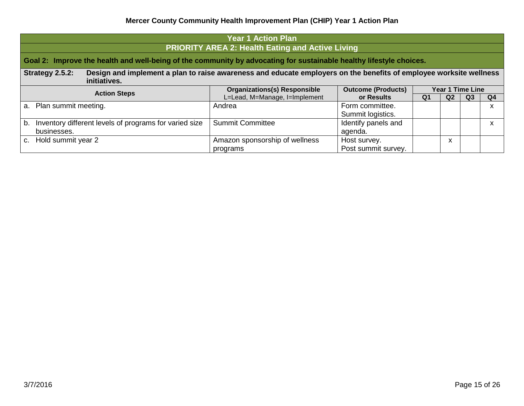| Year 1 Action Plan                                                                                                                                    |                                                         |                                      |                         |                |    |    |  |  |  |
|-------------------------------------------------------------------------------------------------------------------------------------------------------|---------------------------------------------------------|--------------------------------------|-------------------------|----------------|----|----|--|--|--|
|                                                                                                                                                       | <b>PRIORITY AREA 2: Health Eating and Active Living</b> |                                      |                         |                |    |    |  |  |  |
| Goal 2: Improve the health and well-being of the community by advocating for sustainable healthy lifestyle choices.                                   |                                                         |                                      |                         |                |    |    |  |  |  |
| Design and implement a plan to raise awareness and educate employers on the benefits of employee worksite wellness<br>Strategy 2.5.2:<br>initiatives. |                                                         |                                      |                         |                |    |    |  |  |  |
| <b>Action Steps</b>                                                                                                                                   | <b>Organizations(s) Responsible</b>                     | <b>Outcome (Products)</b>            | <b>Year 1 Time Line</b> |                |    |    |  |  |  |
|                                                                                                                                                       | L=Lead, M=Manage, I=Implement                           | or Results                           | Q <sub>1</sub>          | Q <sub>2</sub> | Q3 | Q4 |  |  |  |
| a. Plan summit meeting.                                                                                                                               | Andrea                                                  | Form committee.<br>Summit logistics. |                         |                |    | X  |  |  |  |
| Inventory different levels of programs for varied size<br>$b_{1}$<br>businesses.                                                                      | <b>Summit Committee</b>                                 | Identify panels and<br>agenda.       |                         |                |    | X  |  |  |  |
| c. Hold summit year 2                                                                                                                                 | Amazon sponsorship of wellness<br>programs              | Host survey.<br>Post summit survey.  |                         | x              |    |    |  |  |  |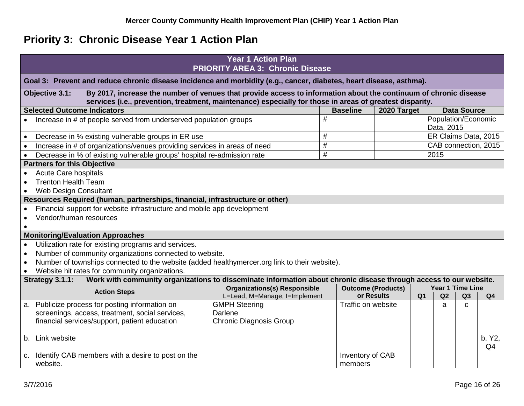# **Priority 3: Chronic Disease Year 1 Action Plan**

<span id="page-15-0"></span>

|             | <b>Year 1 Action Plan</b>                                                                                                                                                                                                                      |                                                                      |                    |                                         |                |            |                     |                      |  |
|-------------|------------------------------------------------------------------------------------------------------------------------------------------------------------------------------------------------------------------------------------------------|----------------------------------------------------------------------|--------------------|-----------------------------------------|----------------|------------|---------------------|----------------------|--|
|             | <b>PRIORITY AREA 3: Chronic Disease</b>                                                                                                                                                                                                        |                                                                      |                    |                                         |                |            |                     |                      |  |
|             | Goal 3: Prevent and reduce chronic disease incidence and morbidity (e.g., cancer, diabetes, heart disease, asthma).                                                                                                                            |                                                                      |                    |                                         |                |            |                     |                      |  |
|             | By 2017, increase the number of venues that provide access to information about the continuum of chronic disease<br>Objective 3.1:<br>services (i.e., prevention, treatment, maintenance) especially for those in areas of greatest disparity. |                                                                      |                    |                                         |                |            |                     |                      |  |
|             | <b>Selected Outcome Indicators</b>                                                                                                                                                                                                             |                                                                      | <b>Baseline</b>    | 2020 Target                             |                |            | <b>Data Source</b>  |                      |  |
|             | Increase in # of people served from underserved population groups                                                                                                                                                                              |                                                                      | #                  |                                         |                | Data, 2015 | Population/Economic |                      |  |
|             | Decrease in % existing vulnerable groups in ER use                                                                                                                                                                                             |                                                                      | $\#$               |                                         |                |            |                     | ER Claims Data, 2015 |  |
|             | Increase in # of organizations/venues providing services in areas of need                                                                                                                                                                      |                                                                      | $\#$               |                                         |                |            |                     | CAB connection, 2015 |  |
|             | Decrease in % of existing vulnerable groups' hospital re-admission rate                                                                                                                                                                        |                                                                      | $\#$               |                                         | 2015           |            |                     |                      |  |
|             | <b>Partners for this Objective</b>                                                                                                                                                                                                             |                                                                      |                    |                                         |                |            |                     |                      |  |
|             | Acute Care hospitals                                                                                                                                                                                                                           |                                                                      |                    |                                         |                |            |                     |                      |  |
|             | <b>Trenton Health Team</b>                                                                                                                                                                                                                     |                                                                      |                    |                                         |                |            |                     |                      |  |
|             | <b>Web Design Consultant</b>                                                                                                                                                                                                                   |                                                                      |                    |                                         |                |            |                     |                      |  |
|             | Resources Required (human, partnerships, financial, infrastructure or other)                                                                                                                                                                   |                                                                      |                    |                                         |                |            |                     |                      |  |
|             | Financial support for website infrastructure and mobile app development                                                                                                                                                                        |                                                                      |                    |                                         |                |            |                     |                      |  |
|             | Vendor/human resources                                                                                                                                                                                                                         |                                                                      |                    |                                         |                |            |                     |                      |  |
|             |                                                                                                                                                                                                                                                |                                                                      |                    |                                         |                |            |                     |                      |  |
|             | <b>Monitoring/Evaluation Approaches</b>                                                                                                                                                                                                        |                                                                      |                    |                                         |                |            |                     |                      |  |
|             | Utilization rate for existing programs and services.                                                                                                                                                                                           |                                                                      |                    |                                         |                |            |                     |                      |  |
|             | Number of community organizations connected to website.                                                                                                                                                                                        |                                                                      |                    |                                         |                |            |                     |                      |  |
|             | Number of townships connected to the website (added healthymercer.org link to their website).                                                                                                                                                  |                                                                      |                    |                                         |                |            |                     |                      |  |
|             | Website hit rates for community organizations.                                                                                                                                                                                                 |                                                                      |                    |                                         |                |            |                     |                      |  |
|             | Work with community organizations to disseminate information about chronic disease through access to our website.<br>Strategy 3.1.1:                                                                                                           |                                                                      |                    |                                         |                |            | Year 1 Time Line    |                      |  |
|             | <b>Action Steps</b>                                                                                                                                                                                                                            | <b>Organizations(s) Responsible</b><br>L=Lead, M=Manage, I=Implement |                    | <b>Outcome (Products)</b><br>or Results | Q <sub>1</sub> | Q2         | Q3                  | Q <sub>4</sub>       |  |
| а.          | Publicize process for posting information on                                                                                                                                                                                                   | <b>GMPH Steering</b>                                                 | Traffic on website |                                         |                | a          | $\mathsf{C}$        |                      |  |
|             | screenings, access, treatment, social services,                                                                                                                                                                                                | Darlene                                                              |                    |                                         |                |            |                     |                      |  |
|             | financial services/support, patient education                                                                                                                                                                                                  | <b>Chronic Diagnosis Group</b>                                       |                    |                                         |                |            |                     |                      |  |
|             |                                                                                                                                                                                                                                                |                                                                      |                    |                                         |                |            |                     |                      |  |
| $b_{\cdot}$ | Link website                                                                                                                                                                                                                                   |                                                                      |                    |                                         |                |            |                     | b. Y2,               |  |
|             |                                                                                                                                                                                                                                                |                                                                      |                    |                                         |                |            |                     | Q <sub>4</sub>       |  |
| $C_{\cdot}$ | Identify CAB members with a desire to post on the                                                                                                                                                                                              |                                                                      | Inventory of CAB   |                                         |                |            |                     |                      |  |
|             | website.                                                                                                                                                                                                                                       |                                                                      | members            |                                         |                |            |                     |                      |  |
|             |                                                                                                                                                                                                                                                |                                                                      |                    |                                         |                |            |                     |                      |  |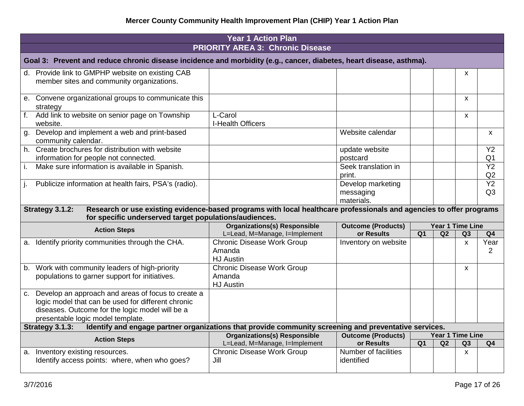|                                                                                                                     | <b>Year 1 Action Plan</b>                                                                                           |                           |                |                         |              |                 |  |  |  |  |
|---------------------------------------------------------------------------------------------------------------------|---------------------------------------------------------------------------------------------------------------------|---------------------------|----------------|-------------------------|--------------|-----------------|--|--|--|--|
| <b>PRIORITY AREA 3: Chronic Disease</b>                                                                             |                                                                                                                     |                           |                |                         |              |                 |  |  |  |  |
| Goal 3: Prevent and reduce chronic disease incidence and morbidity (e.g., cancer, diabetes, heart disease, asthma). |                                                                                                                     |                           |                |                         |              |                 |  |  |  |  |
| d. Provide link to GMPHP website on existing CAB                                                                    |                                                                                                                     |                           |                |                         | X            |                 |  |  |  |  |
| member sites and community organizations.                                                                           |                                                                                                                     |                           |                |                         |              |                 |  |  |  |  |
| e. Convene organizational groups to communicate this<br>strategy                                                    |                                                                                                                     |                           |                |                         | $\mathsf{x}$ |                 |  |  |  |  |
| Add link to website on senior page on Township<br>website.                                                          | L-Carol<br>I-Health Officers                                                                                        |                           |                |                         | $\mathsf{x}$ |                 |  |  |  |  |
| Develop and implement a web and print-based<br>g.<br>community calendar.                                            |                                                                                                                     | Website calendar          |                |                         |              | X               |  |  |  |  |
| h. Create brochures for distribution with website                                                                   |                                                                                                                     | update website            |                |                         |              | Y2              |  |  |  |  |
| information for people not connected.                                                                               |                                                                                                                     | postcard                  |                |                         |              | Q <sub>1</sub>  |  |  |  |  |
| i.<br>Make sure information is available in Spanish.                                                                |                                                                                                                     | Seek translation in       |                |                         |              | Y2              |  |  |  |  |
|                                                                                                                     |                                                                                                                     | print.                    |                |                         |              | Q2              |  |  |  |  |
| Publicize information at health fairs, PSA's (radio).                                                               |                                                                                                                     | Develop marketing         |                |                         |              | $\overline{Y2}$ |  |  |  |  |
|                                                                                                                     |                                                                                                                     | messaging                 |                |                         |              | Q <sub>3</sub>  |  |  |  |  |
|                                                                                                                     |                                                                                                                     | materials.                |                |                         |              |                 |  |  |  |  |
| Strategy 3.1.2:<br>for specific underserved target populations/audiences.                                           | Research or use existing evidence-based programs with local healthcare professionals and agencies to offer programs |                           |                |                         |              |                 |  |  |  |  |
|                                                                                                                     | <b>Organizations(s) Responsible</b>                                                                                 | <b>Outcome (Products)</b> |                | <b>Year 1 Time Line</b> |              |                 |  |  |  |  |
| <b>Action Steps</b>                                                                                                 | L=Lead, M=Manage, I=Implement                                                                                       | or Results                | Q1             | Q2                      | Q3           | Q <sub>4</sub>  |  |  |  |  |
| Identify priority communities through the CHA.<br>a.                                                                | <b>Chronic Disease Work Group</b>                                                                                   | Inventory on website      |                |                         | $\mathsf{x}$ | Year            |  |  |  |  |
|                                                                                                                     | Amanda                                                                                                              |                           |                |                         |              | $\overline{2}$  |  |  |  |  |
|                                                                                                                     | <b>HJ</b> Austin                                                                                                    |                           |                |                         |              |                 |  |  |  |  |
| b. Work with community leaders of high-priority                                                                     | <b>Chronic Disease Work Group</b>                                                                                   |                           |                |                         | $\mathsf{x}$ |                 |  |  |  |  |
| populations to garner support for initiatives.                                                                      | Amanda                                                                                                              |                           |                |                         |              |                 |  |  |  |  |
|                                                                                                                     | <b>HJ</b> Austin                                                                                                    |                           |                |                         |              |                 |  |  |  |  |
| c. Develop an approach and areas of focus to create a<br>logic model that can be used for different chronic         |                                                                                                                     |                           |                |                         |              |                 |  |  |  |  |
| diseases. Outcome for the logic model will be a                                                                     |                                                                                                                     |                           |                |                         |              |                 |  |  |  |  |
| presentable logic model template.                                                                                   |                                                                                                                     |                           |                |                         |              |                 |  |  |  |  |
| Strategy 3.1.3:                                                                                                     | Identify and engage partner organizations that provide community screening and preventative services.               |                           |                |                         |              |                 |  |  |  |  |
|                                                                                                                     | <b>Organizations(s) Responsible</b>                                                                                 | <b>Outcome (Products)</b> |                | Year 1 Time Line        |              |                 |  |  |  |  |
| <b>Action Steps</b>                                                                                                 | L=Lead, M=Manage, I=Implement                                                                                       | or Results                | Q <sub>1</sub> | Q2                      | Q3           | Q <sub>4</sub>  |  |  |  |  |
| Inventory existing resources.<br>а.                                                                                 | <b>Chronic Disease Work Group</b>                                                                                   | Number of facilities      |                |                         | $\mathsf{x}$ |                 |  |  |  |  |
| Identify access points: where, when who goes?                                                                       | Jill                                                                                                                | identified                |                |                         |              |                 |  |  |  |  |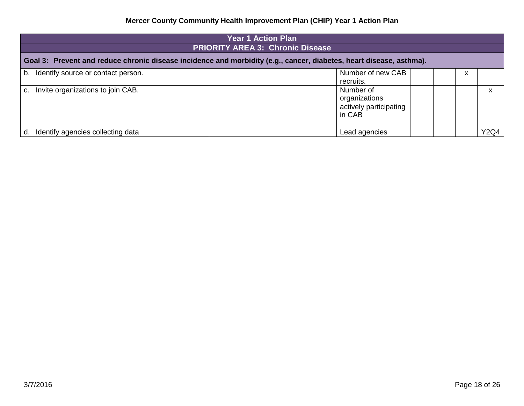| <b>Year 1 Action Plan</b>                                                                                           |                                                                |  |  |      |  |  |  |  |  |
|---------------------------------------------------------------------------------------------------------------------|----------------------------------------------------------------|--|--|------|--|--|--|--|--|
|                                                                                                                     | <b>PRIORITY AREA 3: Chronic Disease</b>                        |  |  |      |  |  |  |  |  |
| Goal 3: Prevent and reduce chronic disease incidence and morbidity (e.g., cancer, diabetes, heart disease, asthma). |                                                                |  |  |      |  |  |  |  |  |
| b. Identify source or contact person.                                                                               | Number of new CAB<br>recruits.                                 |  |  |      |  |  |  |  |  |
| Invite organizations to join CAB.<br>C.                                                                             | Number of<br>organizations<br>actively participating<br>in CAB |  |  | x    |  |  |  |  |  |
| Identify agencies collecting data<br>d.                                                                             | Lead agencies                                                  |  |  | Y2Q4 |  |  |  |  |  |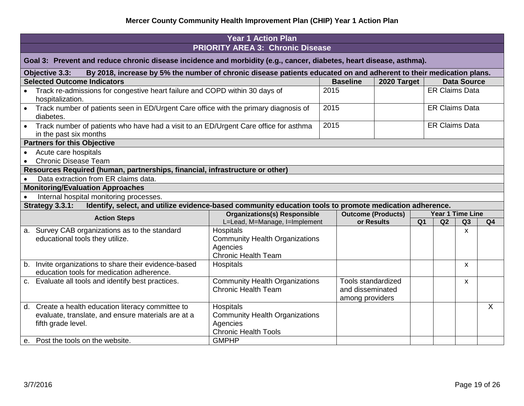| <b>Year 1 Action Plan</b>                                                                                                            |                                                                                                                            |                                                                     |                                               |            |                |                         |                    |                |  |  |
|--------------------------------------------------------------------------------------------------------------------------------------|----------------------------------------------------------------------------------------------------------------------------|---------------------------------------------------------------------|-----------------------------------------------|------------|----------------|-------------------------|--------------------|----------------|--|--|
|                                                                                                                                      |                                                                                                                            | <b>PRIORITY AREA 3: Chronic Disease</b>                             |                                               |            |                |                         |                    |                |  |  |
|                                                                                                                                      | Goal 3: Prevent and reduce chronic disease incidence and morbidity (e.g., cancer, diabetes, heart disease, asthma).        |                                                                     |                                               |            |                |                         |                    |                |  |  |
| By 2018, increase by 5% the number of chronic disease patients educated on and adherent to their medication plans.<br>Objective 3.3: |                                                                                                                            |                                                                     |                                               |            |                |                         |                    |                |  |  |
|                                                                                                                                      | <b>Selected Outcome Indicators</b><br><b>Baseline</b><br>2020 Target<br><b>Data Source</b>                                 |                                                                     |                                               |            |                |                         |                    |                |  |  |
|                                                                                                                                      | Track re-admissions for congestive heart failure and COPD within 30 days of<br>hospitalization.                            |                                                                     | 2015                                          |            |                | <b>ER Claims Data</b>   |                    |                |  |  |
|                                                                                                                                      | Track number of patients seen in ED/Urgent Care office with the primary diagnosis of                                       |                                                                     | 2015                                          |            |                | <b>ER Claims Data</b>   |                    |                |  |  |
|                                                                                                                                      | diabetes.                                                                                                                  |                                                                     |                                               |            |                |                         |                    |                |  |  |
|                                                                                                                                      | • Track number of patients who have had a visit to an ED/Urgent Care office for asthma                                     |                                                                     | 2015                                          |            |                | <b>ER Claims Data</b>   |                    |                |  |  |
|                                                                                                                                      | in the past six months                                                                                                     |                                                                     |                                               |            |                |                         |                    |                |  |  |
|                                                                                                                                      | <b>Partners for this Objective</b>                                                                                         |                                                                     |                                               |            |                |                         |                    |                |  |  |
|                                                                                                                                      | Acute care hospitals                                                                                                       |                                                                     |                                               |            |                |                         |                    |                |  |  |
|                                                                                                                                      | <b>Chronic Disease Team</b>                                                                                                |                                                                     |                                               |            |                |                         |                    |                |  |  |
|                                                                                                                                      | Resources Required (human, partnerships, financial, infrastructure or other)                                               |                                                                     |                                               |            |                |                         |                    |                |  |  |
|                                                                                                                                      | Data extraction from ER claims data.                                                                                       |                                                                     |                                               |            |                |                         |                    |                |  |  |
|                                                                                                                                      | <b>Monitoring/Evaluation Approaches</b>                                                                                    |                                                                     |                                               |            |                |                         |                    |                |  |  |
|                                                                                                                                      | Internal hospital monitoring processes.                                                                                    |                                                                     |                                               |            |                |                         |                    |                |  |  |
|                                                                                                                                      | Identify, select, and utilize evidence-based community education tools to promote medication adherence.<br>Strategy 3.3.1: |                                                                     |                                               |            |                |                         |                    |                |  |  |
|                                                                                                                                      | <b>Action Steps</b>                                                                                                        | <b>Organizations(s) Responsible</b>                                 | <b>Outcome (Products)</b>                     |            |                | <b>Year 1 Time Line</b> |                    |                |  |  |
|                                                                                                                                      |                                                                                                                            | L=Lead, M=Manage, I=Implement                                       |                                               | or Results | Q <sub>1</sub> | Q2                      | Q3                 | Q <sub>4</sub> |  |  |
|                                                                                                                                      | a. Survey CAB organizations as to the standard                                                                             | Hospitals                                                           |                                               |            |                |                         | X                  |                |  |  |
|                                                                                                                                      | educational tools they utilize.                                                                                            | <b>Community Health Organizations</b>                               |                                               |            |                |                         |                    |                |  |  |
|                                                                                                                                      |                                                                                                                            | Agencies                                                            |                                               |            |                |                         |                    |                |  |  |
|                                                                                                                                      |                                                                                                                            | <b>Chronic Health Team</b>                                          |                                               |            |                |                         |                    |                |  |  |
|                                                                                                                                      | b. Invite organizations to share their evidence-based                                                                      | Hospitals                                                           |                                               |            |                |                         | $\pmb{\mathsf{X}}$ |                |  |  |
|                                                                                                                                      | education tools for medication adherence.                                                                                  |                                                                     |                                               |            |                |                         |                    |                |  |  |
|                                                                                                                                      | c. Evaluate all tools and identify best practices.                                                                         | <b>Community Health Organizations</b><br><b>Chronic Health Team</b> | <b>Tools standardized</b><br>and disseminated |            |                |                         | $\mathsf{x}$       |                |  |  |
|                                                                                                                                      |                                                                                                                            |                                                                     |                                               |            |                |                         |                    |                |  |  |
|                                                                                                                                      | d. Create a health education literacy committee to                                                                         | Hospitals                                                           | among providers                               |            |                |                         |                    | $\sf X$        |  |  |
|                                                                                                                                      | evaluate, translate, and ensure materials are at a                                                                         | <b>Community Health Organizations</b>                               |                                               |            |                |                         |                    |                |  |  |
|                                                                                                                                      | fifth grade level.                                                                                                         | Agencies                                                            |                                               |            |                |                         |                    |                |  |  |
|                                                                                                                                      |                                                                                                                            | <b>Chronic Health Tools</b>                                         |                                               |            |                |                         |                    |                |  |  |
|                                                                                                                                      | e. Post the tools on the website.                                                                                          | <b>GMPHP</b>                                                        |                                               |            |                |                         |                    |                |  |  |
|                                                                                                                                      |                                                                                                                            |                                                                     |                                               |            |                |                         |                    |                |  |  |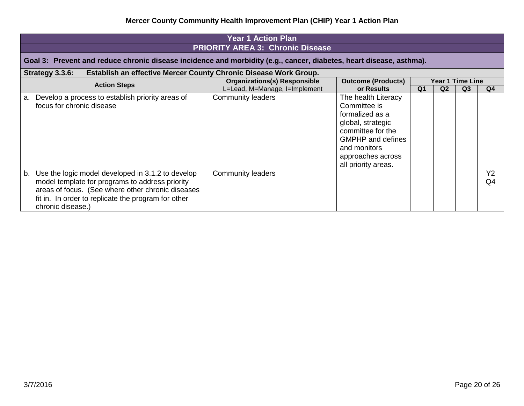|    | <b>Year 1 Action Plan</b>                                                                                                                                                                                                             |                                     |                                                                                                                                                                                          |                |                |                         |                      |  |  |  |
|----|---------------------------------------------------------------------------------------------------------------------------------------------------------------------------------------------------------------------------------------|-------------------------------------|------------------------------------------------------------------------------------------------------------------------------------------------------------------------------------------|----------------|----------------|-------------------------|----------------------|--|--|--|
|    | <b>PRIORITY AREA 3: Chronic Disease</b><br>Goal 3: Prevent and reduce chronic disease incidence and morbidity (e.g., cancer, diabetes, heart disease, asthma).                                                                        |                                     |                                                                                                                                                                                          |                |                |                         |                      |  |  |  |
|    | Establish an effective Mercer County Chronic Disease Work Group.<br>Strategy 3.3.6:                                                                                                                                                   |                                     |                                                                                                                                                                                          |                |                |                         |                      |  |  |  |
|    | <b>Action Steps</b>                                                                                                                                                                                                                   | <b>Organizations(s) Responsible</b> | <b>Outcome (Products)</b>                                                                                                                                                                |                |                | <b>Year 1 Time Line</b> |                      |  |  |  |
|    |                                                                                                                                                                                                                                       | L=Lead, M=Manage, I=Implement       | or Results                                                                                                                                                                               | Q <sub>1</sub> | Q <sub>2</sub> | Q <sub>3</sub>          | Q4                   |  |  |  |
| a. | Develop a process to establish priority areas of<br>focus for chronic disease                                                                                                                                                         | Community leaders                   | The health Literacy<br>Committee is<br>formalized as a<br>global, strategic<br>committee for the<br><b>GMPHP</b> and defines<br>and monitors<br>approaches across<br>all priority areas. |                |                |                         |                      |  |  |  |
| b. | Use the logic model developed in 3.1.2 to develop<br>model template for programs to address priority<br>areas of focus. (See where other chronic diseases<br>fit in. In order to replicate the program for other<br>chronic disease.) | <b>Community leaders</b>            |                                                                                                                                                                                          |                |                |                         | Y <sub>2</sub><br>Q4 |  |  |  |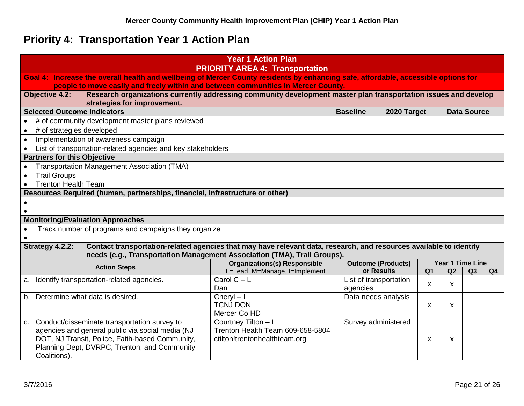# **Priority 4: Transportation Year 1 Action Plan**

<span id="page-20-0"></span>

|           | <b>Year 1 Action Plan</b>                                                                                                                |                                     |                           |             |                |                         |                    |                |
|-----------|------------------------------------------------------------------------------------------------------------------------------------------|-------------------------------------|---------------------------|-------------|----------------|-------------------------|--------------------|----------------|
|           | <b>PRIORITY AREA 4: Transportation</b>                                                                                                   |                                     |                           |             |                |                         |                    |                |
|           | Goal 4: Increase the overall health and wellbeing of Mercer County residents by enhancing safe, affordable, accessible options for       |                                     |                           |             |                |                         |                    |                |
|           | people to move easily and freely within and between communities in Mercer County.                                                        |                                     |                           |             |                |                         |                    |                |
|           | Research organizations currently addressing community development master plan transportation issues and develop<br><b>Objective 4.2:</b> |                                     |                           |             |                |                         |                    |                |
|           | strategies for improvement.<br><b>Selected Outcome Indicators</b>                                                                        |                                     | <b>Baseline</b>           | 2020 Target |                |                         | <b>Data Source</b> |                |
|           | # of community development master plans reviewed                                                                                         |                                     |                           |             |                |                         |                    |                |
| $\bullet$ | # of strategies developed                                                                                                                |                                     |                           |             |                |                         |                    |                |
| $\bullet$ | Implementation of awareness campaign                                                                                                     |                                     |                           |             |                |                         |                    |                |
| $\bullet$ | List of transportation-related agencies and key stakeholders                                                                             |                                     |                           |             |                |                         |                    |                |
|           | <b>Partners for this Objective</b>                                                                                                       |                                     |                           |             |                |                         |                    |                |
| $\bullet$ | Transportation Management Association (TMA)                                                                                              |                                     |                           |             |                |                         |                    |                |
|           | <b>Trail Groups</b>                                                                                                                      |                                     |                           |             |                |                         |                    |                |
|           | <b>Trenton Health Team</b>                                                                                                               |                                     |                           |             |                |                         |                    |                |
|           | Resources Required (human, partnerships, financial, infrastructure or other)                                                             |                                     |                           |             |                |                         |                    |                |
| $\bullet$ |                                                                                                                                          |                                     |                           |             |                |                         |                    |                |
|           |                                                                                                                                          |                                     |                           |             |                |                         |                    |                |
|           | <b>Monitoring/Evaluation Approaches</b>                                                                                                  |                                     |                           |             |                |                         |                    |                |
|           | Track number of programs and campaigns they organize                                                                                     |                                     |                           |             |                |                         |                    |                |
|           | Contact transportation-related agencies that may have relevant data, research, and resources available to identify<br>Strategy 4.2.2:    |                                     |                           |             |                |                         |                    |                |
|           | needs (e.g., Transportation Management Association (TMA), Trail Groups).                                                                 |                                     |                           |             |                |                         |                    |                |
|           |                                                                                                                                          | <b>Organizations(s) Responsible</b> | <b>Outcome (Products)</b> |             |                | <b>Year 1 Time Line</b> |                    |                |
|           | <b>Action Steps</b>                                                                                                                      | L=Lead, M=Manage, I=Implement       | or Results                |             | Q <sub>1</sub> | Q2                      | Q3                 | Q <sub>4</sub> |
| a.        | Identify transportation-related agencies.                                                                                                | Carol $C - L$                       | List of transportation    |             | X              | X                       |                    |                |
|           |                                                                                                                                          | Dan                                 | agencies                  |             |                |                         |                    |                |
|           | b. Determine what data is desired.                                                                                                       | Cheryl $-1$                         | Data needs analysis       |             |                |                         |                    |                |
|           |                                                                                                                                          | <b>TCNJ DON</b><br>Mercer Co HD     |                           |             | X              | X                       |                    |                |
| C.        | Conduct/disseminate transportation survey to                                                                                             | Courtney Tilton - I                 | Survey administered       |             |                |                         |                    |                |
|           | agencies and general public via social media (NJ                                                                                         | Trenton Health Team 609-658-5804    |                           |             |                |                         |                    |                |
|           | DOT, NJ Transit, Police, Faith-based Community,                                                                                          | ctilton!trentonhealthteam.org       |                           |             | X              | X                       |                    |                |
|           | Planning Dept, DVRPC, Trenton, and Community                                                                                             |                                     |                           |             |                |                         |                    |                |
|           | Coalitions).                                                                                                                             |                                     |                           |             |                |                         |                    |                |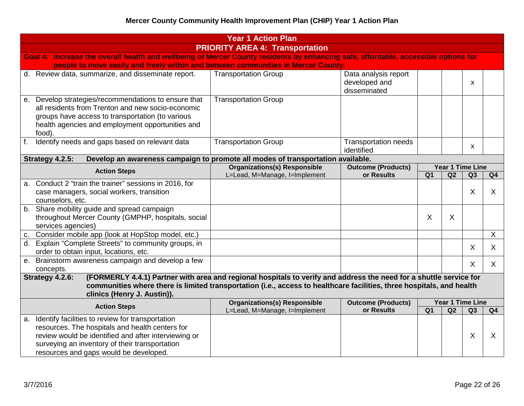|             |                                                                                                                                                                                                                                                         | <b>Year 1 Action Plan</b>                                                                                                                                                                                                                   |                                                       |                 |    |                         |                |  |  |
|-------------|---------------------------------------------------------------------------------------------------------------------------------------------------------------------------------------------------------------------------------------------------------|---------------------------------------------------------------------------------------------------------------------------------------------------------------------------------------------------------------------------------------------|-------------------------------------------------------|-----------------|----|-------------------------|----------------|--|--|
|             | <b>PRIORITY AREA 4: Transportation</b>                                                                                                                                                                                                                  |                                                                                                                                                                                                                                             |                                                       |                 |    |                         |                |  |  |
|             | Goal 4: Increase the overall health and wellbeing of Mercer County residents by enhancing safe, affordable, accessible options for                                                                                                                      |                                                                                                                                                                                                                                             |                                                       |                 |    |                         |                |  |  |
|             | people to move easily and freely within and between communities in Mercer County.                                                                                                                                                                       |                                                                                                                                                                                                                                             |                                                       |                 |    |                         |                |  |  |
|             | d. Review data, summarize, and disseminate report.                                                                                                                                                                                                      | <b>Transportation Group</b>                                                                                                                                                                                                                 | Data analysis report<br>developed and<br>disseminated |                 |    | X                       |                |  |  |
| е.          | Develop strategies/recommendations to ensure that<br>all residents from Trenton and new socio-economic<br>groups have access to transportation (to various<br>health agencies and employment opportunities and<br>food).                                | <b>Transportation Group</b>                                                                                                                                                                                                                 |                                                       |                 |    |                         |                |  |  |
| $f_{\cdot}$ | Identify needs and gaps based on relevant data                                                                                                                                                                                                          | <b>Transportation Group</b>                                                                                                                                                                                                                 | <b>Transportation needs</b><br>identified             |                 |    | X                       |                |  |  |
|             | Strategy 4.2.5:                                                                                                                                                                                                                                         | Develop an awareness campaign to promote all modes of transportation available.                                                                                                                                                             |                                                       |                 |    |                         |                |  |  |
|             | <b>Action Steps</b>                                                                                                                                                                                                                                     | <b>Organizations(s) Responsible</b>                                                                                                                                                                                                         | <b>Outcome (Products)</b>                             |                 |    | <b>Year 1 Time Line</b> |                |  |  |
|             |                                                                                                                                                                                                                                                         | L=Lead, M=Manage, I=Implement                                                                                                                                                                                                               | or Results                                            | $\overline{Q1}$ | Q2 | Q3                      | Q <sub>4</sub> |  |  |
| a.          | Conduct 2 "train the trainer" sessions in 2016, for<br>case managers, social workers, transition<br>counselors, etc.                                                                                                                                    |                                                                                                                                                                                                                                             |                                                       |                 |    | X                       | X              |  |  |
|             | b. Share mobility guide and spread campaign<br>throughout Mercer County (GMPHP, hospitals, social<br>services agencies)                                                                                                                                 |                                                                                                                                                                                                                                             |                                                       | X               | X  |                         |                |  |  |
|             | c. Consider mobile app (look at HopStop model, etc.)                                                                                                                                                                                                    |                                                                                                                                                                                                                                             |                                                       |                 |    |                         | $\overline{X}$ |  |  |
|             | d. Explain "Complete Streets" to community groups, in<br>order to obtain input, locations, etc.                                                                                                                                                         |                                                                                                                                                                                                                                             |                                                       |                 |    | $\sf X$                 | X              |  |  |
| е.          | Brainstorm awareness campaign and develop a few<br>concepts.                                                                                                                                                                                            |                                                                                                                                                                                                                                             |                                                       |                 |    | $\sf X$                 | X              |  |  |
|             | Strategy 4.2.6:<br>clinics (Henry J. Austin)).                                                                                                                                                                                                          | (FORMERLY 4.4.1) Partner with area and regional hospitals to verify and address the need for a shuttle service for<br>communities where there is limited transportation (i.e., access to healthcare facilities, three hospitals, and health |                                                       |                 |    |                         |                |  |  |
|             | <b>Action Steps</b>                                                                                                                                                                                                                                     | <b>Organizations(s) Responsible</b>                                                                                                                                                                                                         | <b>Outcome (Products)</b>                             |                 |    | <b>Year 1 Time Line</b> |                |  |  |
|             |                                                                                                                                                                                                                                                         | L=Lead, M=Manage, I=Implement                                                                                                                                                                                                               | or Results                                            | Q <sub>1</sub>  | Q2 | Q3                      | Q4             |  |  |
| a.          | Identify facilities to review for transportation<br>resources. The hospitals and health centers for<br>review would be identified and after interviewing or<br>surveying an inventory of their transportation<br>resources and gaps would be developed. |                                                                                                                                                                                                                                             |                                                       |                 |    | X                       | $\sf X$        |  |  |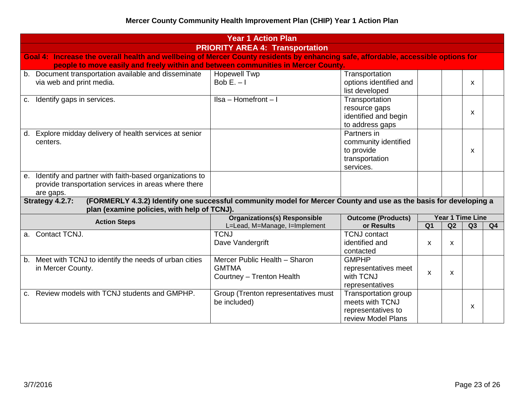|                                                                                                                                    | <b>Year 1 Action Plan</b>                                                                                        |                                                                                     |                |    |                         |    |  |  |  |
|------------------------------------------------------------------------------------------------------------------------------------|------------------------------------------------------------------------------------------------------------------|-------------------------------------------------------------------------------------|----------------|----|-------------------------|----|--|--|--|
| <b>PRIORITY AREA 4: Transportation</b>                                                                                             |                                                                                                                  |                                                                                     |                |    |                         |    |  |  |  |
| Goal 4: Increase the overall health and wellbeing of Mercer County residents by enhancing safe, affordable, accessible options for |                                                                                                                  |                                                                                     |                |    |                         |    |  |  |  |
| people to move easily and freely within and between communities in Mercer County.                                                  |                                                                                                                  |                                                                                     |                |    |                         |    |  |  |  |
| b. Document transportation available and disseminate                                                                               | <b>Hopewell Twp</b>                                                                                              | Transportation                                                                      |                |    |                         |    |  |  |  |
| via web and print media.                                                                                                           | Bob $E - I$                                                                                                      | options identified and<br>list developed                                            |                |    | X                       |    |  |  |  |
| Identify gaps in services.<br>$C_{\cdot}$                                                                                          | Ilsa - Homefront - I                                                                                             | Transportation<br>resource gaps<br>identified and begin<br>to address gaps          |                |    | X                       |    |  |  |  |
| Explore midday delivery of health services at senior<br>d.<br>centers.                                                             |                                                                                                                  | Partners in<br>community identified<br>to provide<br>transportation<br>services.    |                |    | X                       |    |  |  |  |
| Identify and partner with faith-based organizations to<br>е.                                                                       |                                                                                                                  |                                                                                     |                |    |                         |    |  |  |  |
| provide transportation services in areas where there                                                                               |                                                                                                                  |                                                                                     |                |    |                         |    |  |  |  |
| are gaps.                                                                                                                          |                                                                                                                  |                                                                                     |                |    |                         |    |  |  |  |
| Strategy 4.2.7:                                                                                                                    | (FORMERLY 4.3.2) Identify one successful community model for Mercer County and use as the basis for developing a |                                                                                     |                |    |                         |    |  |  |  |
| plan (examine policies, with help of TCNJ).                                                                                        |                                                                                                                  |                                                                                     |                |    |                         |    |  |  |  |
| <b>Action Steps</b>                                                                                                                | <b>Organizations(s) Responsible</b>                                                                              | <b>Outcome (Products)</b>                                                           |                |    | <b>Year 1 Time Line</b> |    |  |  |  |
|                                                                                                                                    | L=Lead, M=Manage, I=Implement                                                                                    | or Results                                                                          | Q <sub>1</sub> | Q2 | Q3                      | Q4 |  |  |  |
| a. Contact TCNJ.                                                                                                                   | <b>TCNJ</b><br>Dave Vandergrift                                                                                  | <b>TCNJ</b> contact<br>identified and<br>contacted                                  | X              | X  |                         |    |  |  |  |
| Meet with TCNJ to identify the needs of urban cities<br>b.<br>in Mercer County.                                                    | Mercer Public Health - Sharon<br><b>GMTMA</b><br>Courtney - Trenton Health                                       | <b>GMPHP</b><br>representatives meet<br>with TCNJ<br>representatives                | X              | X  |                         |    |  |  |  |
| c. Review models with TCNJ students and GMPHP.                                                                                     | Group (Trenton representatives must<br>be included)                                                              | Transportation group<br>meets with TCNJ<br>representatives to<br>review Model Plans |                |    | X                       |    |  |  |  |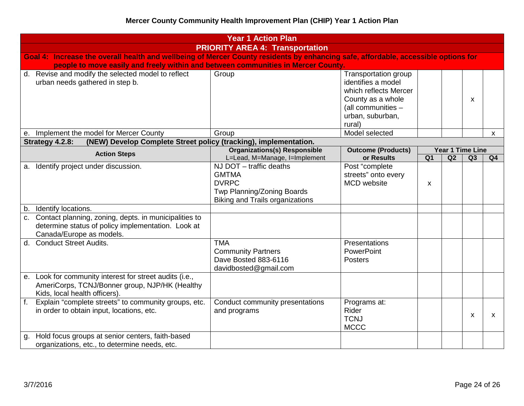| <b>Year 1 Action Plan</b> |                                                                                                                                            |                                                                                                                                 |                                                                                                                                              |                |    |                        |    |  |  |  |
|---------------------------|--------------------------------------------------------------------------------------------------------------------------------------------|---------------------------------------------------------------------------------------------------------------------------------|----------------------------------------------------------------------------------------------------------------------------------------------|----------------|----|------------------------|----|--|--|--|
|                           | <b>PRIORITY AREA 4: Transportation</b>                                                                                                     |                                                                                                                                 |                                                                                                                                              |                |    |                        |    |  |  |  |
|                           | Goal 4: Increase the overall health and wellbeing of Mercer County residents by enhancing safe, affordable, accessible options for         |                                                                                                                                 |                                                                                                                                              |                |    |                        |    |  |  |  |
|                           | people to move easily and freely within and between communities in Mercer County.                                                          |                                                                                                                                 |                                                                                                                                              |                |    |                        |    |  |  |  |
|                           | d. Revise and modify the selected model to reflect<br>urban needs gathered in step b.                                                      | Group                                                                                                                           | Transportation group<br>identifies a model<br>which reflects Mercer<br>County as a whole<br>(all communities -<br>urban, suburban,<br>rural) |                |    | x                      |    |  |  |  |
| е.                        | Implement the model for Mercer County                                                                                                      | Group                                                                                                                           | Model selected                                                                                                                               |                |    |                        | X  |  |  |  |
|                           | Strategy 4.2.8:<br>(NEW) Develop Complete Street policy (tracking), implementation.                                                        |                                                                                                                                 |                                                                                                                                              |                |    |                        |    |  |  |  |
|                           | <b>Action Steps</b>                                                                                                                        | <b>Organizations(s) Responsible</b><br>L=Lead, M=Manage, I=Implement                                                            | <b>Outcome (Products)</b><br>or Results                                                                                                      | Q <sub>1</sub> | Q2 | Year 1 Time Line<br>Q3 | Q4 |  |  |  |
| a.                        | Identify project under discussion.                                                                                                         | NJ DOT - traffic deaths<br><b>GMTMA</b><br><b>DVRPC</b><br>Twp Planning/Zoning Boards<br><b>Biking and Trails organizations</b> | Post "complete<br>streets" onto every<br>MCD website                                                                                         | X              |    |                        |    |  |  |  |
| b.                        | Identify locations.                                                                                                                        |                                                                                                                                 |                                                                                                                                              |                |    |                        |    |  |  |  |
|                           | c. Contact planning, zoning, depts. in municipalities to<br>determine status of policy implementation. Look at<br>Canada/Europe as models. |                                                                                                                                 |                                                                                                                                              |                |    |                        |    |  |  |  |
|                           | d. Conduct Street Audits.                                                                                                                  | <b>TMA</b><br><b>Community Partners</b><br>Dave Bosted 883-6116<br>davidbosted@gmail.com                                        | Presentations<br>PowerPoint<br><b>Posters</b>                                                                                                |                |    |                        |    |  |  |  |
| е.                        | Look for community interest for street audits (i.e.,<br>AmeriCorps, TCNJ/Bonner group, NJP/HK (Healthy<br>Kids, local health officers).    |                                                                                                                                 |                                                                                                                                              |                |    |                        |    |  |  |  |
| $f_{\rm{eff}}$            | Explain "complete streets" to community groups, etc.<br>in order to obtain input, locations, etc.                                          | Conduct community presentations<br>and programs                                                                                 | Programs at:<br>Rider<br><b>TCNJ</b><br><b>MCCC</b>                                                                                          |                |    | X                      | X  |  |  |  |
| g.                        | Hold focus groups at senior centers, faith-based<br>organizations, etc., to determine needs, etc.                                          |                                                                                                                                 |                                                                                                                                              |                |    |                        |    |  |  |  |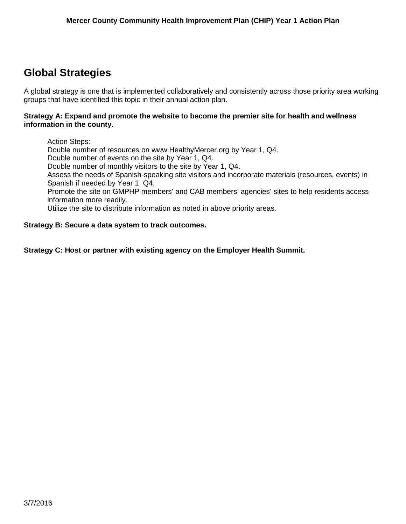## <span id="page-24-0"></span>**Global Strategies**

A global strategy is one that is implemented collaboratively and consistently across those priority area working groups that have identified this topic in their annual action plan.

#### **Strategy A: Expand and promote the website to become the premier site for health and wellness information in the county.**

Action Steps: Double number of resources on www.HealthyMercer.org by Year 1, Q4. Double number of events on the site by Year 1, Q4. Double number of monthly visitors to the site by Year 1, Q4. Assess the needs of Spanish-speaking site visitors and incorporate materials (resources, events) in Spanish if needed by Year 1, Q4. Promote the site on GMPHP members' and CAB members' agencies' sites to help residents access information more readily. Utilize the site to distribute information as noted in above priority areas.

#### **Strategy B: Secure a data system to track outcomes.**

**Strategy C: Host or partner with existing agency on the Employer Health Summit.**